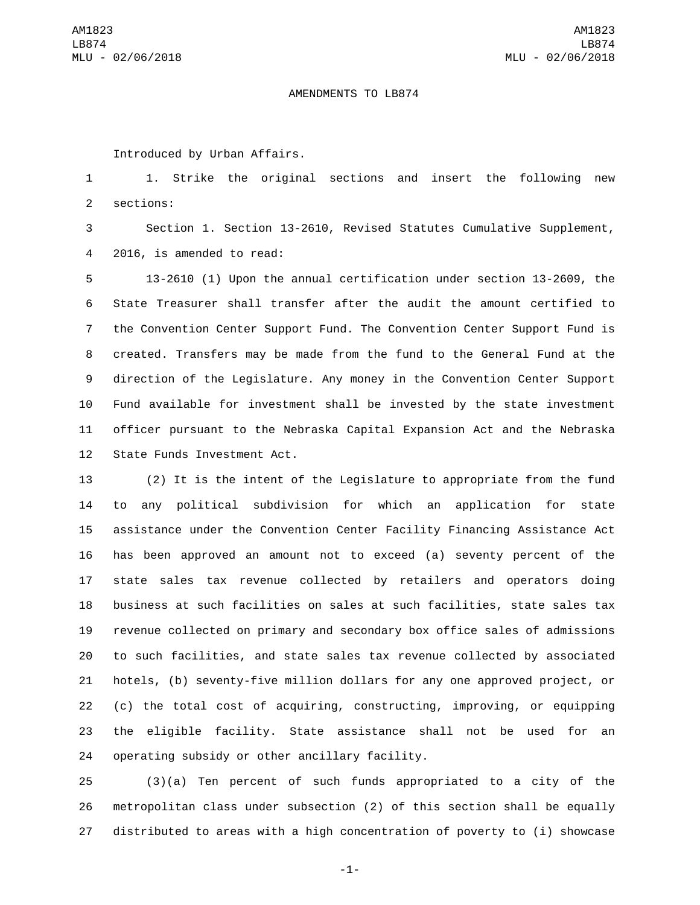## AMENDMENTS TO LB874

Introduced by Urban Affairs.

 1. Strike the original sections and insert the following new 2 sections:

 Section 1. Section 13-2610, Revised Statutes Cumulative Supplement, 4 2016, is amended to read:

 13-2610 (1) Upon the annual certification under section 13-2609, the State Treasurer shall transfer after the audit the amount certified to the Convention Center Support Fund. The Convention Center Support Fund is created. Transfers may be made from the fund to the General Fund at the direction of the Legislature. Any money in the Convention Center Support Fund available for investment shall be invested by the state investment officer pursuant to the Nebraska Capital Expansion Act and the Nebraska 12 State Funds Investment Act.

 (2) It is the intent of the Legislature to appropriate from the fund to any political subdivision for which an application for state assistance under the Convention Center Facility Financing Assistance Act has been approved an amount not to exceed (a) seventy percent of the state sales tax revenue collected by retailers and operators doing business at such facilities on sales at such facilities, state sales tax revenue collected on primary and secondary box office sales of admissions to such facilities, and state sales tax revenue collected by associated hotels, (b) seventy-five million dollars for any one approved project, or (c) the total cost of acquiring, constructing, improving, or equipping the eligible facility. State assistance shall not be used for an 24 operating subsidy or other ancillary facility.

 (3)(a) Ten percent of such funds appropriated to a city of the metropolitan class under subsection (2) of this section shall be equally distributed to areas with a high concentration of poverty to (i) showcase

-1-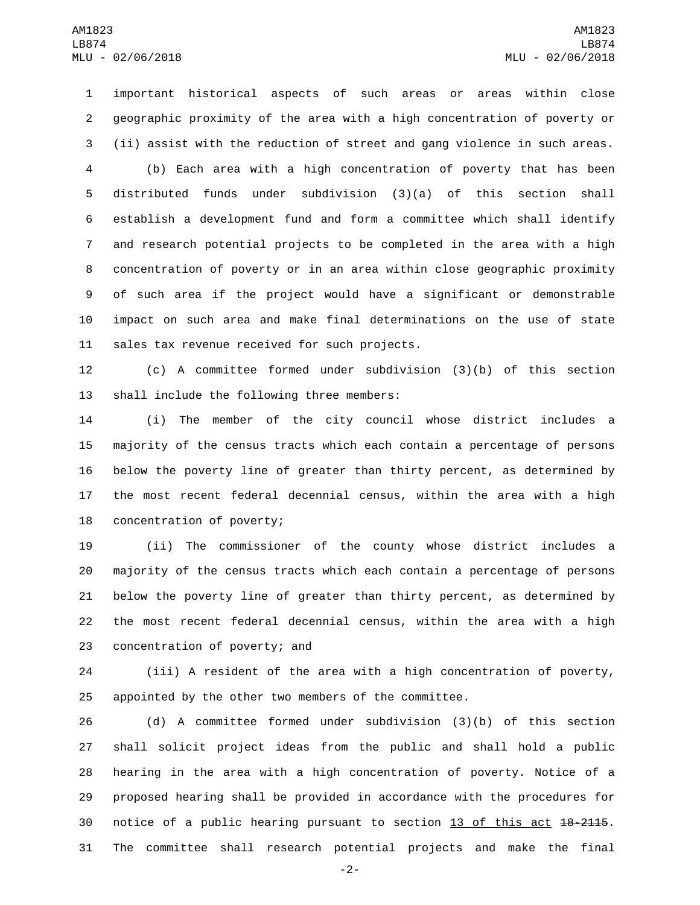important historical aspects of such areas or areas within close geographic proximity of the area with a high concentration of poverty or (ii) assist with the reduction of street and gang violence in such areas. (b) Each area with a high concentration of poverty that has been distributed funds under subdivision (3)(a) of this section shall establish a development fund and form a committee which shall identify and research potential projects to be completed in the area with a high concentration of poverty or in an area within close geographic proximity of such area if the project would have a significant or demonstrable impact on such area and make final determinations on the use of state 11 sales tax revenue received for such projects.

 (c) A committee formed under subdivision (3)(b) of this section 13 shall include the following three members:

 (i) The member of the city council whose district includes a majority of the census tracts which each contain a percentage of persons below the poverty line of greater than thirty percent, as determined by the most recent federal decennial census, within the area with a high 18 concentration of poverty;

 (ii) The commissioner of the county whose district includes a majority of the census tracts which each contain a percentage of persons below the poverty line of greater than thirty percent, as determined by the most recent federal decennial census, within the area with a high 23 concentration of poverty; and

 (iii) A resident of the area with a high concentration of poverty, appointed by the other two members of the committee.

 (d) A committee formed under subdivision (3)(b) of this section shall solicit project ideas from the public and shall hold a public hearing in the area with a high concentration of poverty. Notice of a proposed hearing shall be provided in accordance with the procedures for notice of a public hearing pursuant to section 13 of this act 18-2115. The committee shall research potential projects and make the final

-2-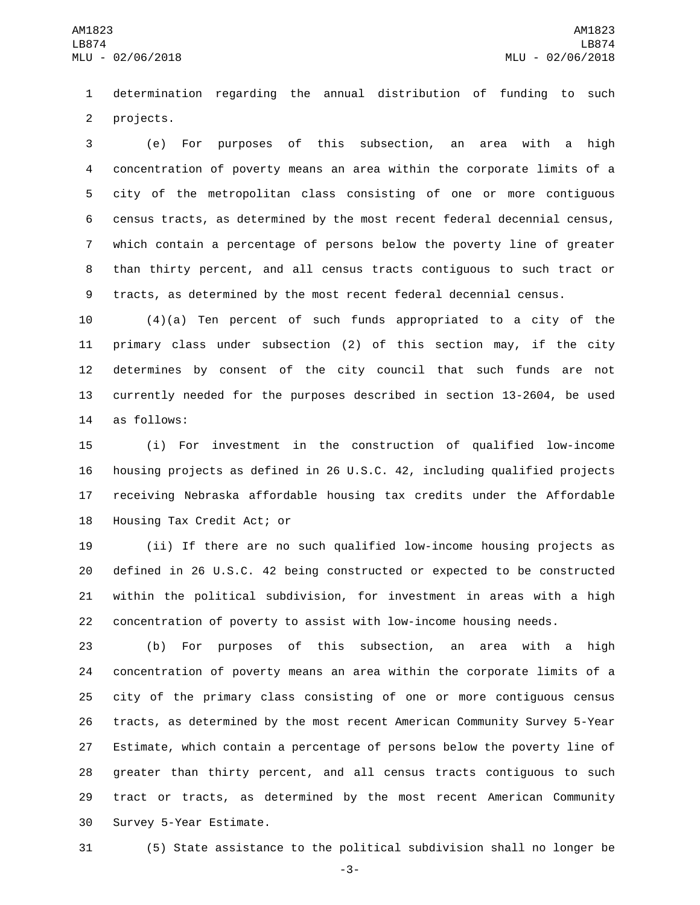determination regarding the annual distribution of funding to such 2 projects.

 (e) For purposes of this subsection, an area with a high concentration of poverty means an area within the corporate limits of a city of the metropolitan class consisting of one or more contiguous census tracts, as determined by the most recent federal decennial census, which contain a percentage of persons below the poverty line of greater than thirty percent, and all census tracts contiguous to such tract or tracts, as determined by the most recent federal decennial census.

 (4)(a) Ten percent of such funds appropriated to a city of the primary class under subsection (2) of this section may, if the city determines by consent of the city council that such funds are not currently needed for the purposes described in section 13-2604, be used 14 as follows:

 (i) For investment in the construction of qualified low-income housing projects as defined in 26 U.S.C. 42, including qualified projects receiving Nebraska affordable housing tax credits under the Affordable 18 Housing Tax Credit Act; or

 (ii) If there are no such qualified low-income housing projects as defined in 26 U.S.C. 42 being constructed or expected to be constructed within the political subdivision, for investment in areas with a high concentration of poverty to assist with low-income housing needs.

 (b) For purposes of this subsection, an area with a high concentration of poverty means an area within the corporate limits of a city of the primary class consisting of one or more contiguous census tracts, as determined by the most recent American Community Survey 5-Year Estimate, which contain a percentage of persons below the poverty line of greater than thirty percent, and all census tracts contiguous to such tract or tracts, as determined by the most recent American Community 30 Survey 5-Year Estimate.

(5) State assistance to the political subdivision shall no longer be

-3-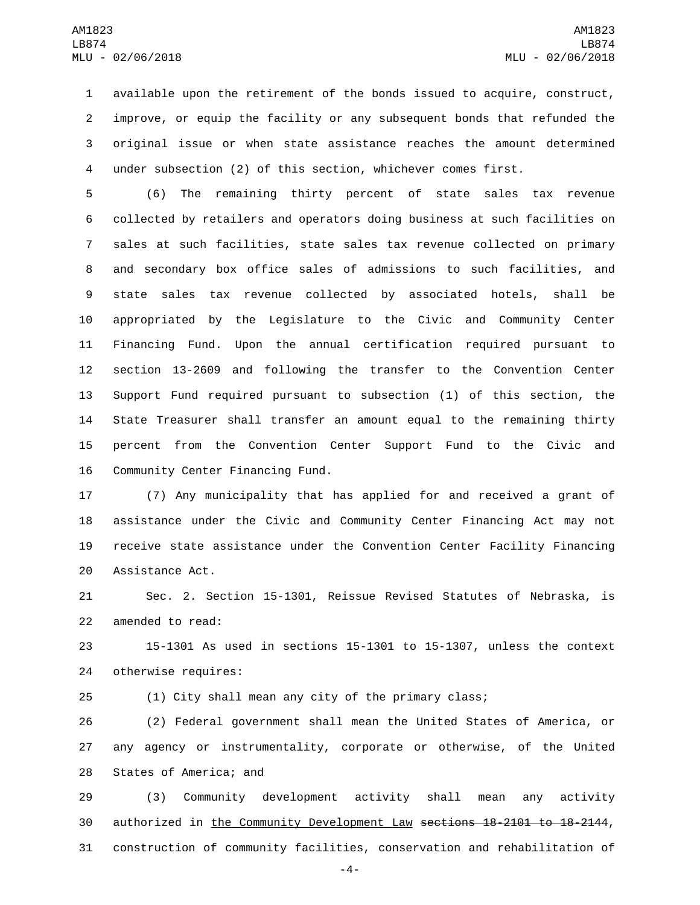available upon the retirement of the bonds issued to acquire, construct, improve, or equip the facility or any subsequent bonds that refunded the original issue or when state assistance reaches the amount determined under subsection (2) of this section, whichever comes first.

 (6) The remaining thirty percent of state sales tax revenue collected by retailers and operators doing business at such facilities on sales at such facilities, state sales tax revenue collected on primary and secondary box office sales of admissions to such facilities, and state sales tax revenue collected by associated hotels, shall be appropriated by the Legislature to the Civic and Community Center Financing Fund. Upon the annual certification required pursuant to section 13-2609 and following the transfer to the Convention Center Support Fund required pursuant to subsection (1) of this section, the State Treasurer shall transfer an amount equal to the remaining thirty percent from the Convention Center Support Fund to the Civic and 16 Community Center Financing Fund.

 (7) Any municipality that has applied for and received a grant of assistance under the Civic and Community Center Financing Act may not receive state assistance under the Convention Center Facility Financing 20 Assistance Act.

 Sec. 2. Section 15-1301, Reissue Revised Statutes of Nebraska, is 22 amended to read:

 15-1301 As used in sections 15-1301 to 15-1307, unless the context 24 otherwise requires:

(1) City shall mean any city of the primary class;

 (2) Federal government shall mean the United States of America, or any agency or instrumentality, corporate or otherwise, of the United 28 States of America; and

 (3) Community development activity shall mean any activity authorized in the Community Development Law sections 18-2101 to 18-2144, construction of community facilities, conservation and rehabilitation of

-4-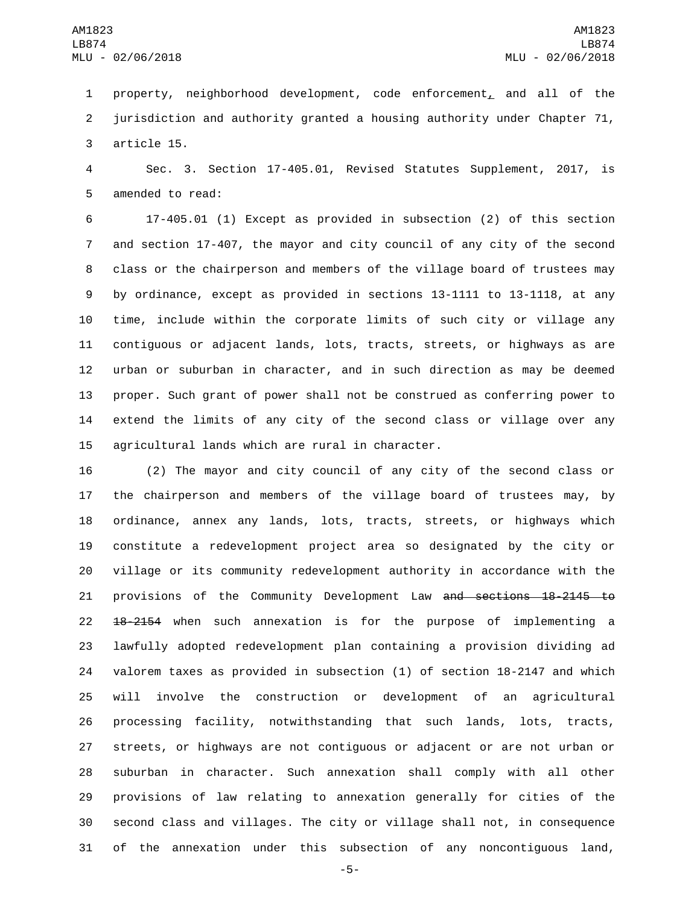property, neighborhood development, code enforcement, and all of the jurisdiction and authority granted a housing authority under Chapter 71, 3 article 15.

 Sec. 3. Section 17-405.01, Revised Statutes Supplement, 2017, is 5 amended to read:

 17-405.01 (1) Except as provided in subsection (2) of this section and section 17-407, the mayor and city council of any city of the second class or the chairperson and members of the village board of trustees may by ordinance, except as provided in sections 13-1111 to 13-1118, at any time, include within the corporate limits of such city or village any contiguous or adjacent lands, lots, tracts, streets, or highways as are urban or suburban in character, and in such direction as may be deemed proper. Such grant of power shall not be construed as conferring power to extend the limits of any city of the second class or village over any 15 agricultural lands which are rural in character.

 (2) The mayor and city council of any city of the second class or the chairperson and members of the village board of trustees may, by ordinance, annex any lands, lots, tracts, streets, or highways which constitute a redevelopment project area so designated by the city or village or its community redevelopment authority in accordance with the 21 provisions of the Community Development Law and sections 18-2145 to 22 <del>18-2154</del> when such annexation is for the purpose of implementing a lawfully adopted redevelopment plan containing a provision dividing ad valorem taxes as provided in subsection (1) of section 18-2147 and which will involve the construction or development of an agricultural processing facility, notwithstanding that such lands, lots, tracts, streets, or highways are not contiguous or adjacent or are not urban or suburban in character. Such annexation shall comply with all other provisions of law relating to annexation generally for cities of the second class and villages. The city or village shall not, in consequence of the annexation under this subsection of any noncontiguous land,

-5-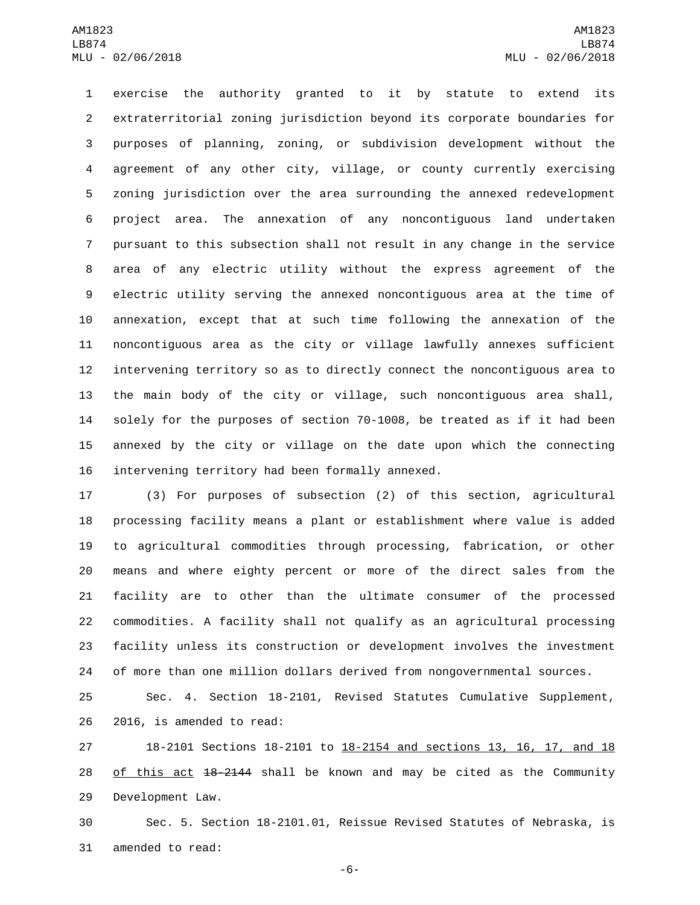exercise the authority granted to it by statute to extend its extraterritorial zoning jurisdiction beyond its corporate boundaries for purposes of planning, zoning, or subdivision development without the agreement of any other city, village, or county currently exercising zoning jurisdiction over the area surrounding the annexed redevelopment project area. The annexation of any noncontiguous land undertaken pursuant to this subsection shall not result in any change in the service area of any electric utility without the express agreement of the electric utility serving the annexed noncontiguous area at the time of annexation, except that at such time following the annexation of the noncontiguous area as the city or village lawfully annexes sufficient intervening territory so as to directly connect the noncontiguous area to the main body of the city or village, such noncontiguous area shall, solely for the purposes of section 70-1008, be treated as if it had been annexed by the city or village on the date upon which the connecting 16 intervening territory had been formally annexed.

 (3) For purposes of subsection (2) of this section, agricultural processing facility means a plant or establishment where value is added to agricultural commodities through processing, fabrication, or other means and where eighty percent or more of the direct sales from the facility are to other than the ultimate consumer of the processed commodities. A facility shall not qualify as an agricultural processing facility unless its construction or development involves the investment of more than one million dollars derived from nongovernmental sources.

 Sec. 4. Section 18-2101, Revised Statutes Cumulative Supplement, 26 2016, is amended to read:

 18-2101 Sections 18-2101 to 18-2154 and sections 13, 16, 17, and 18 28 of this act 18-2144 shall be known and may be cited as the Community 29 Development Law.

 Sec. 5. Section 18-2101.01, Reissue Revised Statutes of Nebraska, is 31 amended to read:

-6-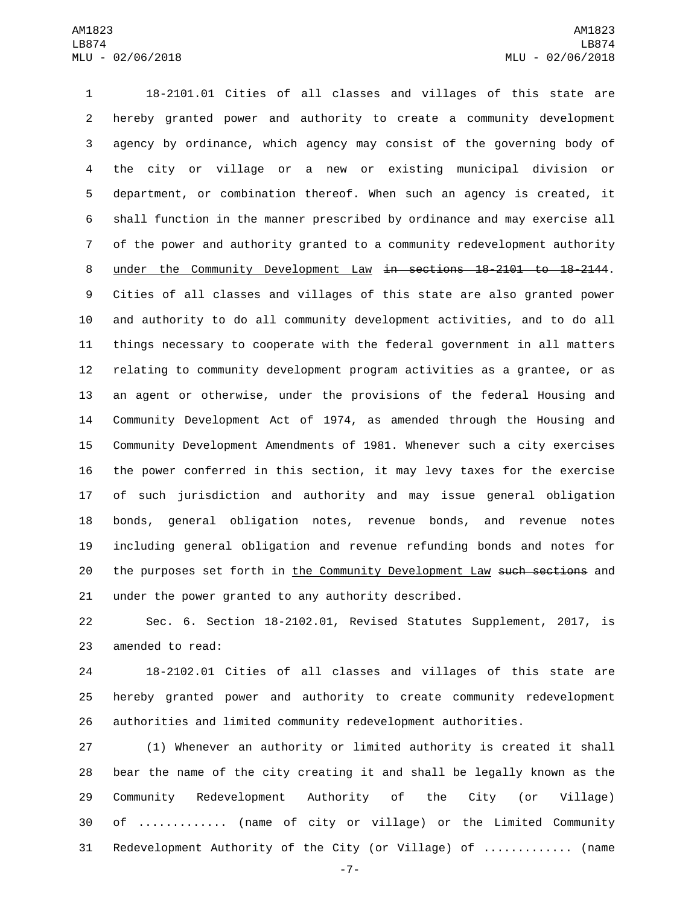18-2101.01 Cities of all classes and villages of this state are hereby granted power and authority to create a community development agency by ordinance, which agency may consist of the governing body of the city or village or a new or existing municipal division or department, or combination thereof. When such an agency is created, it shall function in the manner prescribed by ordinance and may exercise all of the power and authority granted to a community redevelopment authority under the Community Development Law in sections 18-2101 to 18-2144. Cities of all classes and villages of this state are also granted power and authority to do all community development activities, and to do all things necessary to cooperate with the federal government in all matters relating to community development program activities as a grantee, or as an agent or otherwise, under the provisions of the federal Housing and Community Development Act of 1974, as amended through the Housing and Community Development Amendments of 1981. Whenever such a city exercises the power conferred in this section, it may levy taxes for the exercise of such jurisdiction and authority and may issue general obligation bonds, general obligation notes, revenue bonds, and revenue notes including general obligation and revenue refunding bonds and notes for 20 the purposes set forth in the Community Development Law such sections and under the power granted to any authority described.

 Sec. 6. Section 18-2102.01, Revised Statutes Supplement, 2017, is 23 amended to read:

 18-2102.01 Cities of all classes and villages of this state are hereby granted power and authority to create community redevelopment authorities and limited community redevelopment authorities.

 (1) Whenever an authority or limited authority is created it shall bear the name of the city creating it and shall be legally known as the Community Redevelopment Authority of the City (or Village) of ............. (name of city or village) or the Limited Community Redevelopment Authority of the City (or Village) of ............. (name

-7-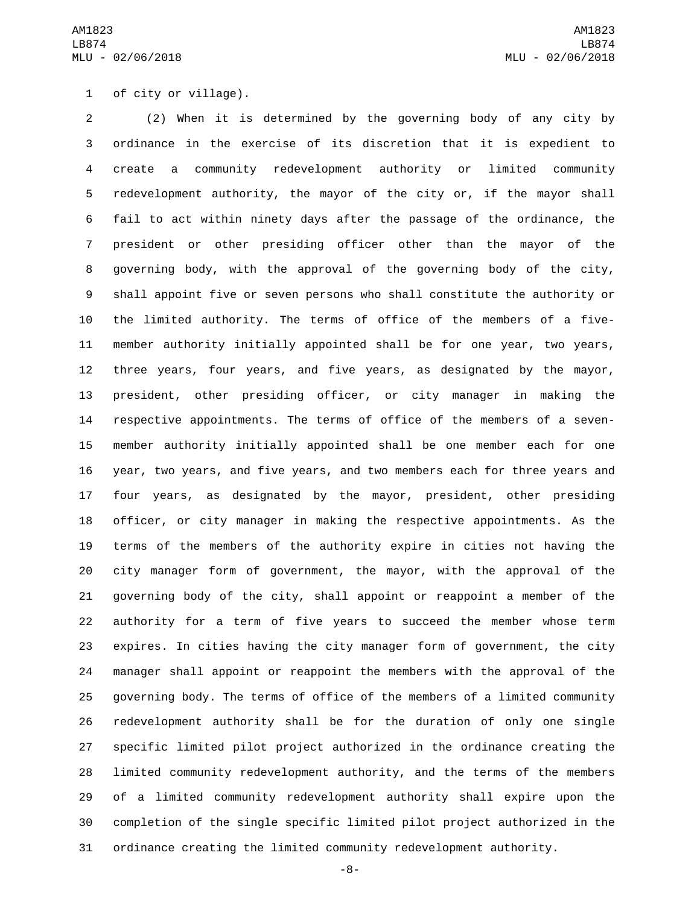1 of city or village).

 (2) When it is determined by the governing body of any city by ordinance in the exercise of its discretion that it is expedient to create a community redevelopment authority or limited community redevelopment authority, the mayor of the city or, if the mayor shall fail to act within ninety days after the passage of the ordinance, the president or other presiding officer other than the mayor of the governing body, with the approval of the governing body of the city, shall appoint five or seven persons who shall constitute the authority or the limited authority. The terms of office of the members of a five- member authority initially appointed shall be for one year, two years, three years, four years, and five years, as designated by the mayor, president, other presiding officer, or city manager in making the respective appointments. The terms of office of the members of a seven- member authority initially appointed shall be one member each for one year, two years, and five years, and two members each for three years and four years, as designated by the mayor, president, other presiding officer, or city manager in making the respective appointments. As the terms of the members of the authority expire in cities not having the city manager form of government, the mayor, with the approval of the governing body of the city, shall appoint or reappoint a member of the authority for a term of five years to succeed the member whose term expires. In cities having the city manager form of government, the city manager shall appoint or reappoint the members with the approval of the governing body. The terms of office of the members of a limited community redevelopment authority shall be for the duration of only one single specific limited pilot project authorized in the ordinance creating the limited community redevelopment authority, and the terms of the members of a limited community redevelopment authority shall expire upon the completion of the single specific limited pilot project authorized in the ordinance creating the limited community redevelopment authority.

-8-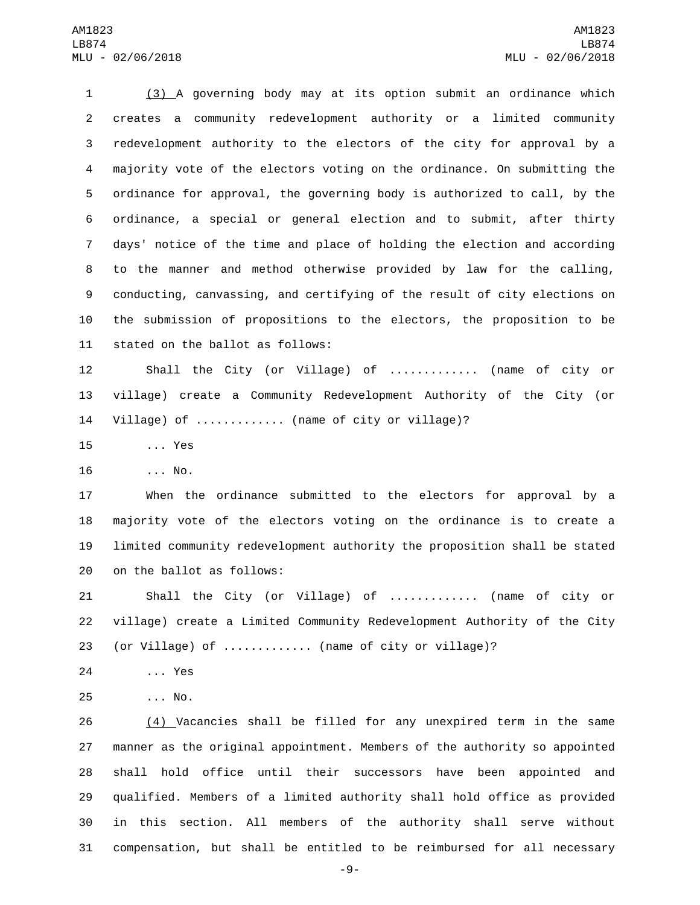(3) A governing body may at its option submit an ordinance which creates a community redevelopment authority or a limited community redevelopment authority to the electors of the city for approval by a majority vote of the electors voting on the ordinance. On submitting the ordinance for approval, the governing body is authorized to call, by the ordinance, a special or general election and to submit, after thirty days' notice of the time and place of holding the election and according to the manner and method otherwise provided by law for the calling, conducting, canvassing, and certifying of the result of city elections on the submission of propositions to the electors, the proposition to be 11 stated on the ballot as follows:

 Shall the City (or Village) of ............. (name of city or village) create a Community Redevelopment Authority of the City (or Village) of ............. (name of city or village)?

15 ... Yes

16 ... No.

 When the ordinance submitted to the electors for approval by a majority vote of the electors voting on the ordinance is to create a limited community redevelopment authority the proposition shall be stated 20 on the ballot as follows:

 Shall the City (or Village) of ............. (name of city or village) create a Limited Community Redevelopment Authority of the City (or Village) of ............. (name of city or village)?

24 ... Yes

... No.25

 (4) Vacancies shall be filled for any unexpired term in the same manner as the original appointment. Members of the authority so appointed shall hold office until their successors have been appointed and qualified. Members of a limited authority shall hold office as provided in this section. All members of the authority shall serve without compensation, but shall be entitled to be reimbursed for all necessary

-9-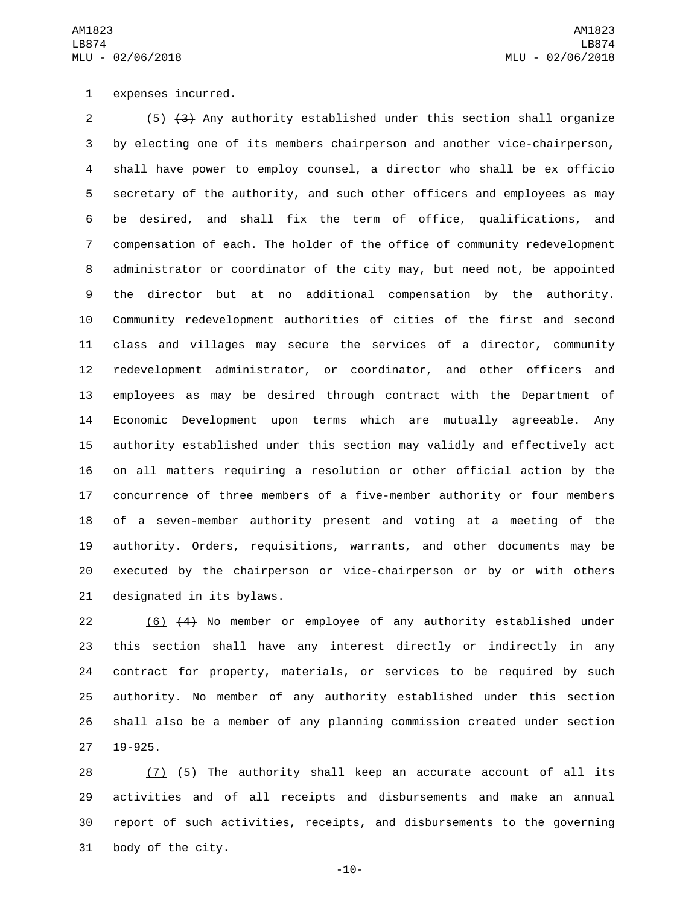1 expenses incurred.

 (5) (3) Any authority established under this section shall organize by electing one of its members chairperson and another vice-chairperson, shall have power to employ counsel, a director who shall be ex officio secretary of the authority, and such other officers and employees as may be desired, and shall fix the term of office, qualifications, and compensation of each. The holder of the office of community redevelopment administrator or coordinator of the city may, but need not, be appointed the director but at no additional compensation by the authority. Community redevelopment authorities of cities of the first and second class and villages may secure the services of a director, community redevelopment administrator, or coordinator, and other officers and employees as may be desired through contract with the Department of Economic Development upon terms which are mutually agreeable. Any authority established under this section may validly and effectively act on all matters requiring a resolution or other official action by the concurrence of three members of a five-member authority or four members of a seven-member authority present and voting at a meeting of the authority. Orders, requisitions, warrants, and other documents may be executed by the chairperson or vice-chairperson or by or with others 21 designated in its bylaws.

 (6) (4) No member or employee of any authority established under this section shall have any interest directly or indirectly in any contract for property, materials, or services to be required by such authority. No member of any authority established under this section shall also be a member of any planning commission created under section 19-925.

 $(7)$   $(5)$  The authority shall keep an accurate account of all its activities and of all receipts and disbursements and make an annual report of such activities, receipts, and disbursements to the governing 31 body of the city.

-10-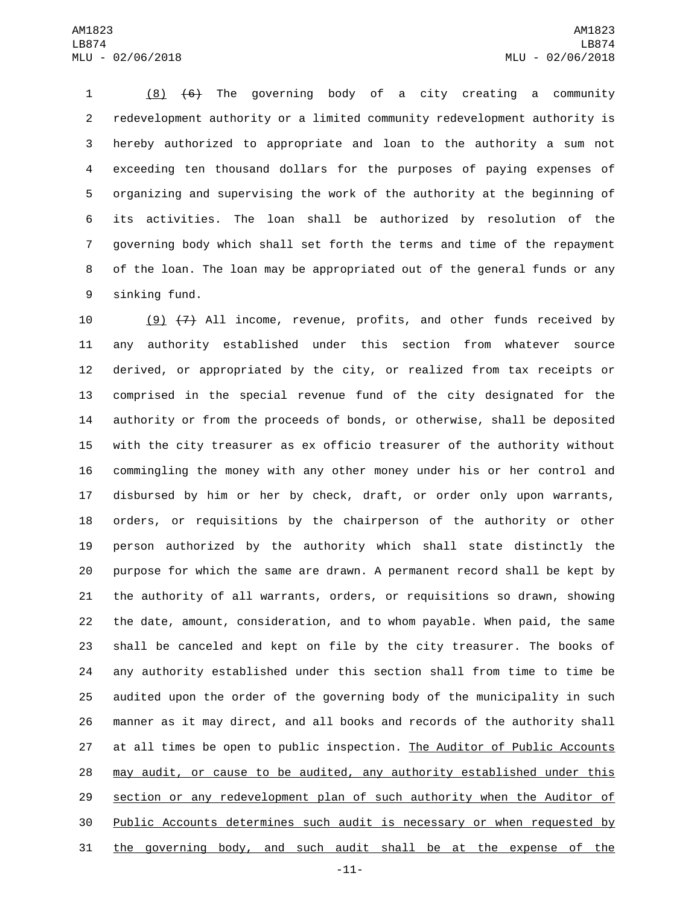(8) (6) The governing body of a city creating a community redevelopment authority or a limited community redevelopment authority is hereby authorized to appropriate and loan to the authority a sum not exceeding ten thousand dollars for the purposes of paying expenses of organizing and supervising the work of the authority at the beginning of its activities. The loan shall be authorized by resolution of the governing body which shall set forth the terms and time of the repayment of the loan. The loan may be appropriated out of the general funds or any 9 sinking fund.

 $(9)$   $(7)$  All income, revenue, profits, and other funds received by any authority established under this section from whatever source derived, or appropriated by the city, or realized from tax receipts or comprised in the special revenue fund of the city designated for the authority or from the proceeds of bonds, or otherwise, shall be deposited with the city treasurer as ex officio treasurer of the authority without commingling the money with any other money under his or her control and disbursed by him or her by check, draft, or order only upon warrants, orders, or requisitions by the chairperson of the authority or other person authorized by the authority which shall state distinctly the purpose for which the same are drawn. A permanent record shall be kept by the authority of all warrants, orders, or requisitions so drawn, showing the date, amount, consideration, and to whom payable. When paid, the same shall be canceled and kept on file by the city treasurer. The books of any authority established under this section shall from time to time be audited upon the order of the governing body of the municipality in such manner as it may direct, and all books and records of the authority shall 27 at all times be open to public inspection. The Auditor of Public Accounts may audit, or cause to be audited, any authority established under this section or any redevelopment plan of such authority when the Auditor of Public Accounts determines such audit is necessary or when requested by the governing body, and such audit shall be at the expense of the

-11-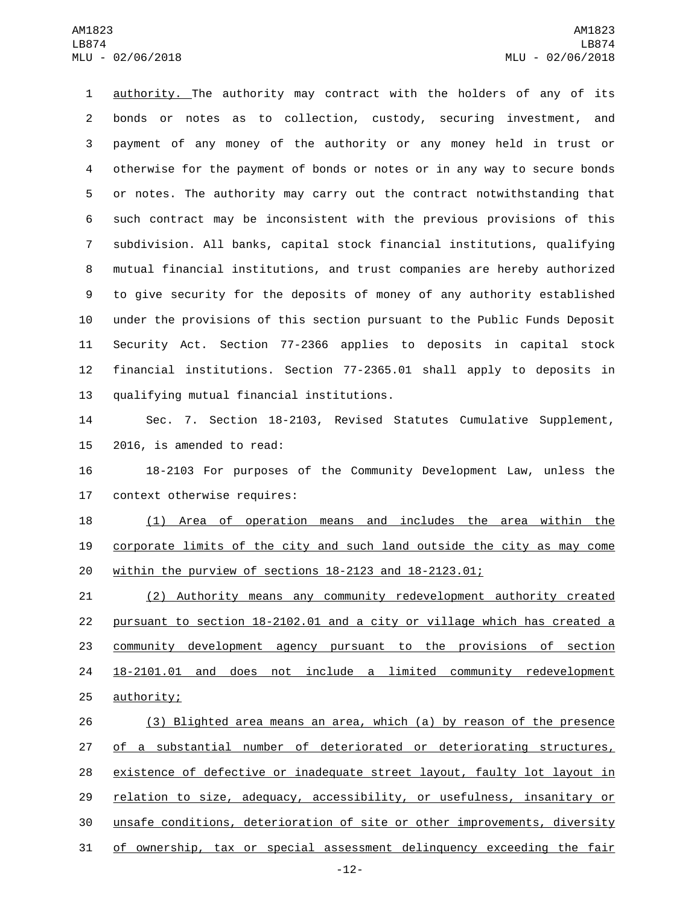authority. The authority may contract with the holders of any of its bonds or notes as to collection, custody, securing investment, and payment of any money of the authority or any money held in trust or otherwise for the payment of bonds or notes or in any way to secure bonds or notes. The authority may carry out the contract notwithstanding that such contract may be inconsistent with the previous provisions of this subdivision. All banks, capital stock financial institutions, qualifying mutual financial institutions, and trust companies are hereby authorized to give security for the deposits of money of any authority established under the provisions of this section pursuant to the Public Funds Deposit Security Act. Section 77-2366 applies to deposits in capital stock financial institutions. Section 77-2365.01 shall apply to deposits in 13 qualifying mutual financial institutions.

 Sec. 7. Section 18-2103, Revised Statutes Cumulative Supplement, 15 2016, is amended to read:

 18-2103 For purposes of the Community Development Law, unless the 17 context otherwise requires:

 (1) Area of operation means and includes the area within the corporate limits of the city and such land outside the city as may come within the purview of sections 18-2123 and 18-2123.01;

 (2) Authority means any community redevelopment authority created pursuant to section 18-2102.01 and a city or village which has created a community development agency pursuant to the provisions of section 18-2101.01 and does not include a limited community redevelopment 25 authority;

 (3) Blighted area means an area, which (a) by reason of the presence 27 of a substantial number of deteriorated or deteriorating structures, existence of defective or inadequate street layout, faulty lot layout in relation to size, adequacy, accessibility, or usefulness, insanitary or unsafe conditions, deterioration of site or other improvements, diversity of ownership, tax or special assessment delinquency exceeding the fair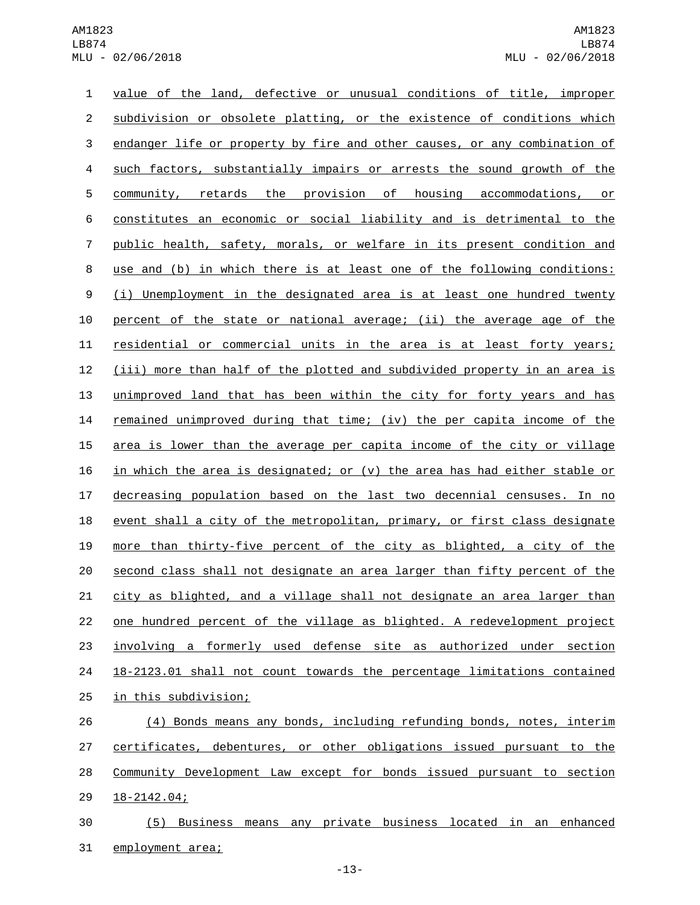value of the land, defective or unusual conditions of title, improper 2 subdivision or obsolete platting, or the existence of conditions which 3 endanger life or property by fire and other causes, or any combination of such factors, substantially impairs or arrests the sound growth of the community, retards the provision of housing accommodations, or constitutes an economic or social liability and is detrimental to the public health, safety, morals, or welfare in its present condition and use and (b) in which there is at least one of the following conditions: (i) Unemployment in the designated area is at least one hundred twenty percent of the state or national average; (ii) the average age of the residential or commercial units in the area is at least forty years; (iii) more than half of the plotted and subdivided property in an area is unimproved land that has been within the city for forty years and has remained unimproved during that time; (iv) the per capita income of the 15 area is lower than the average per capita income of the city or village 16 in which the area is designated; or  $(v)$  the area has had either stable or decreasing population based on the last two decennial censuses. In no event shall a city of the metropolitan, primary, or first class designate more than thirty-five percent of the city as blighted, a city of the second class shall not designate an area larger than fifty percent of the 21 city as blighted, and a village shall not designate an area larger than one hundred percent of the village as blighted. A redevelopment project involving a formerly used defense site as authorized under section 18-2123.01 shall not count towards the percentage limitations contained 25 in this subdivision;

 (4) Bonds means any bonds, including refunding bonds, notes, interim certificates, debentures, or other obligations issued pursuant to the Community Development Law except for bonds issued pursuant to section 29 18-2142.04;

 (5) Business means any private business located in an enhanced 31 employment area;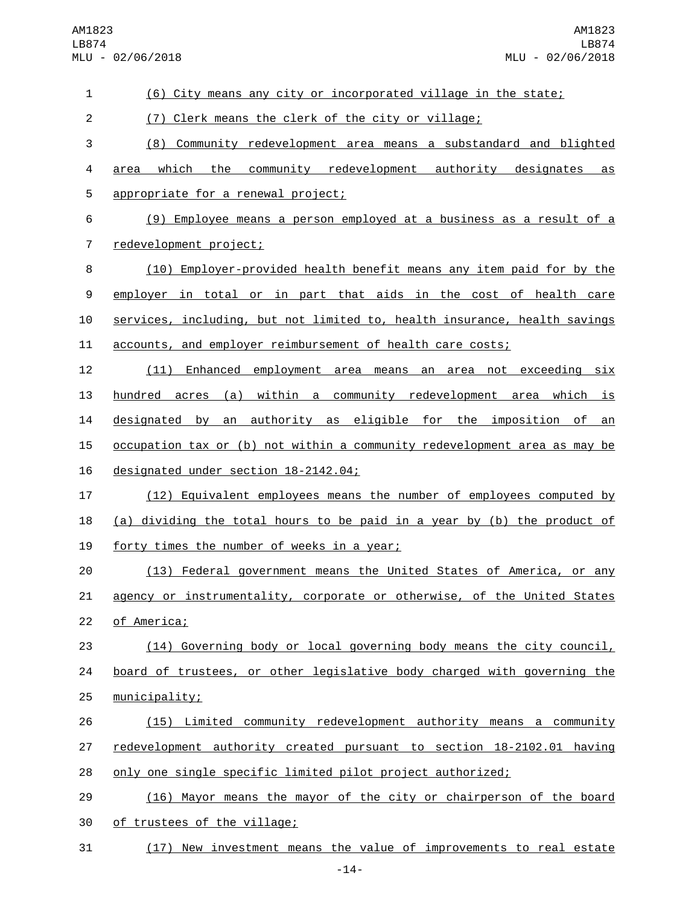AM1823 LB874 MLU - 02/06/2018

| $\mathbf 1$    | (6) City means any city or incorporated village in the state;             |
|----------------|---------------------------------------------------------------------------|
| $\overline{c}$ | (7) Clerk means the clerk of the city or village;                         |
| 3              | Community redevelopment area means a substandard and blighted<br>(8)      |
| 4              | which the community redevelopment authority designates<br>area<br>as      |
| 5              | appropriate for a renewal project;                                        |
| 6              | (9) Employee means a person employed at a business as a result of a       |
| 7              | redevelopment project;                                                    |
| 8              | (10) Employer-provided health benefit means any item paid for by the      |
| 9              | employer in total or in part that aids in the cost of health care         |
| 10             | services, including, but not limited to, health insurance, health savings |
| 11             | accounts, and employer reimbursement of health care costs;                |
| 12             | (11) Enhanced employment area means an area not exceeding six             |
| 13             | hundred acres (a) within a community redevelopment area which is          |
| 14             | designated by an authority as eligible for the imposition of<br>an        |
| 15             | occupation tax or (b) not within a community redevelopment area as may be |
| 16             | designated under section 18-2142.04;                                      |
| 17             | (12) Equivalent employees means the number of employees computed by       |
| 18             | (a) dividing the total hours to be paid in a year by (b) the product of   |
| 19             | forty times the number of weeks in a year;                                |
| 20             | (13) Federal government means the United States of America, or any        |
| 21             | agency or instrumentality, corporate or otherwise, of the United States   |
| 22             | of America;                                                               |
| 23             | (14) Governing body or local governing body means the city council,       |
| 24             | board of trustees, or other legislative body charged with governing the   |
| 25             | municipality;                                                             |
| 26             | (15) Limited community redevelopment authority means a community          |
| 27             | redevelopment authority created pursuant to section 18-2102.01 having     |
| 28             | only one single specific limited pilot project authorized;                |
| 29             | (16) Mayor means the mayor of the city or chairperson of the board        |
| 30             | of trustees of the village;                                               |
| 31             | (17) New investment means the value of improvements to real estate        |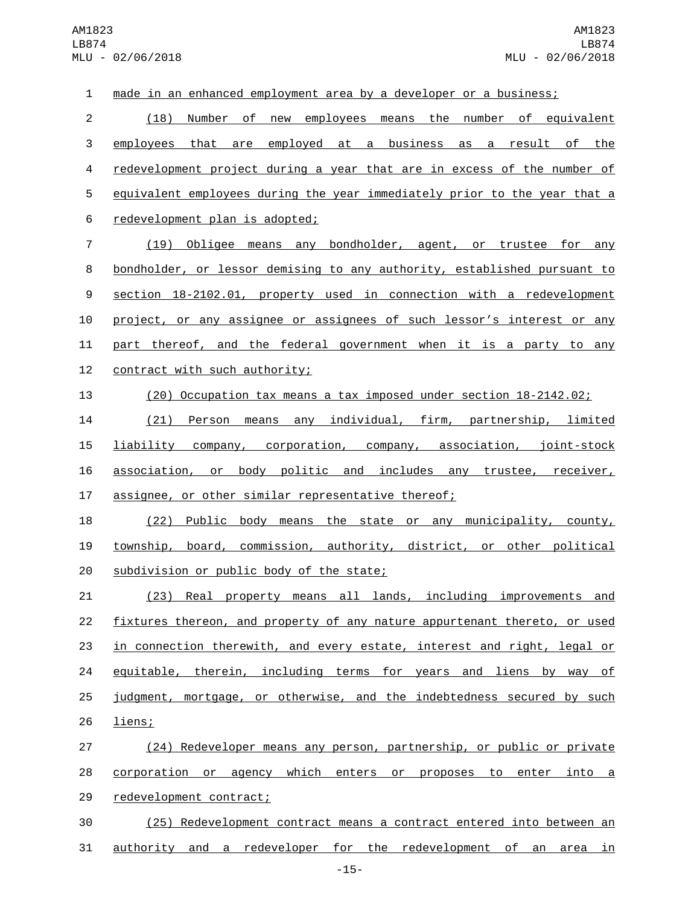made in an enhanced employment area by a developer or a business; (18) Number of new employees means the number of equivalent employees that are employed at a business as a result of the redevelopment project during a year that are in excess of the number of equivalent employees during the year immediately prior to the year that a 6 redevelopment plan is adopted; (19) Obligee means any bondholder, agent, or trustee for any bondholder, or lessor demising to any authority, established pursuant to section 18-2102.01, property used in connection with a redevelopment project, or any assignee or assignees of such lessor's interest or any 11 part thereof, and the federal government when it is a party to any 12 contract with such authority; (20) Occupation tax means a tax imposed under section 18-2142.02; (21) Person means any individual, firm, partnership, limited liability company, corporation, company, association, joint-stock association, or body politic and includes any trustee, receiver, assignee, or other similar representative thereof; (22) Public body means the state or any municipality, county, township, board, commission, authority, district, or other political 20 subdivision or public body of the state; (23) Real property means all lands, including improvements and fixtures thereon, and property of any nature appurtenant thereto, or used 23 in connection therewith, and every estate, interest and right, legal or equitable, therein, including terms for years and liens by way of judgment, mortgage, or otherwise, and the indebtedness secured by such 26 liens; (24) Redeveloper means any person, partnership, or public or private corporation or agency which enters or proposes to enter into a 29 redevelopment contract; (25) Redevelopment contract means a contract entered into between an authority and a redeveloper for the redevelopment of an area in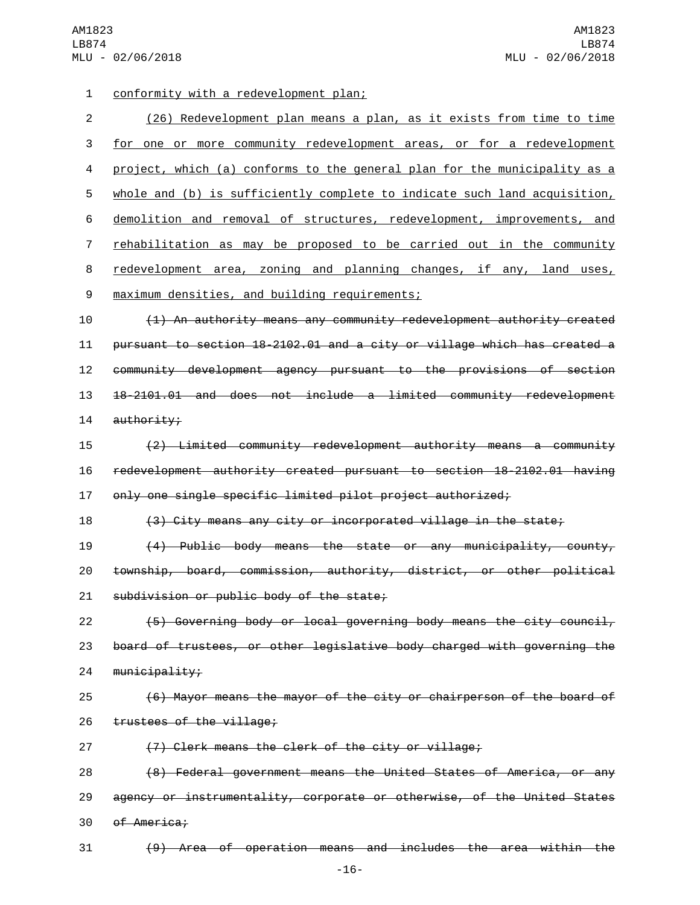AM1823 LB874 MLU - 02/06/2018

conformity with a redevelopment plan;1

| $\overline{2}$ | (26) Redevelopment plan means a plan, as it exists from time to time        |
|----------------|-----------------------------------------------------------------------------|
| 3              | for one or more community redevelopment areas, or for a redevelopment       |
| 4              | project, which (a) conforms to the general plan for the municipality as a   |
| 5              | whole and (b) is sufficiently complete to indicate such land acquisition,   |
| 6              | demolition and removal of structures, redevelopment, improvements, and      |
| 7              | <u>rehabilitation as may be proposed to be carried out in the community</u> |
| 8              | redevelopment area, zoning and planning changes, if any, land uses,         |
| 9              | maximum densities, and building requirements;                               |
| 10             | (1) An authority means any community redevelopment authority created        |
| 11             | pursuant to section 18-2102.01 and a city or village which has created a    |
| 12             | community development agency pursuant to the provisions of section          |
| 13             | 18-2101.01 and does not include a limited community redevelopment           |
| 14             | authority;                                                                  |
| 15             | (2) Limited community redevelopment authority means a community             |
| 16             | redevelopment authority created pursuant to section 18-2102.01 having       |
| 17             | only one single specific limited pilot project authorized;                  |
| 18             | (3) City means any city or incorporated village in the state;               |
| 19             | (4) Public body means the state or any municipality, county,                |
| 20             | township, board, commission, authority, district, or other political        |
| 21             | subdivision or public body of the state;                                    |
| 22             | (5) Governing body or local governing body means the city council,          |
| 23             | board of trustees, or other legislative body charged with governing the     |
| 24             | $m$ unicipality;                                                            |
| 25             | (6) Mayor means the mayor of the city or chairperson of the board of        |
| 26             | trustees of the village;                                                    |
| 27             | (7) Clerk means the clerk of the city or village;                           |
| 28             | (8) Federal government means the United States of America, or any           |
| 29             | agency or instrumentality, corporate or otherwise, of the United States     |

30 of America;

(9) Area of operation means and includes the area within the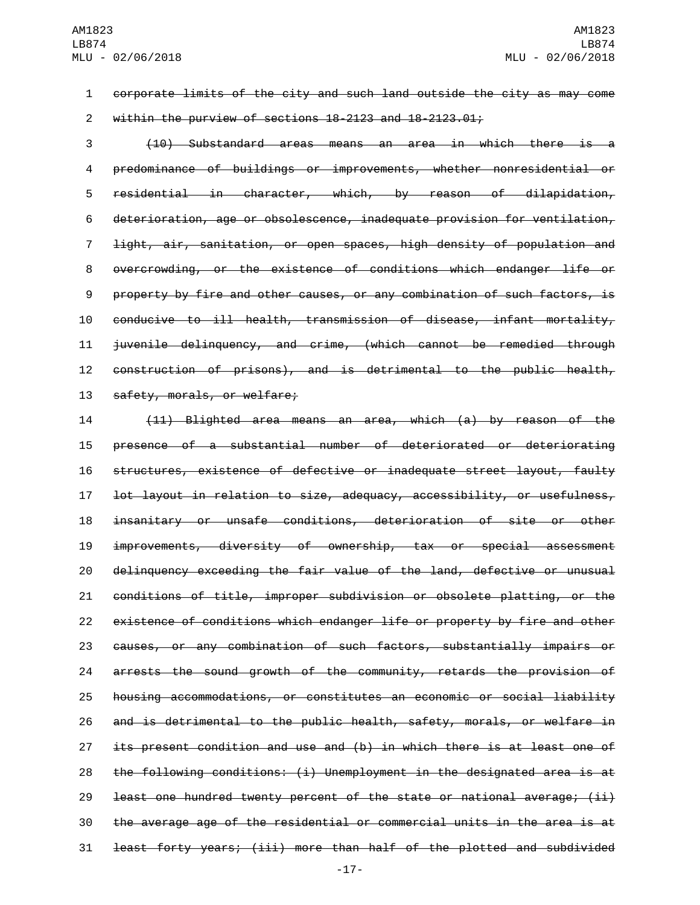corporate limits of the city and such land outside the city as may come within the purview of sections 18-2123 and 18-2123.01;

 (10) Substandard areas means an area in which there is a predominance of buildings or improvements, whether nonresidential or residential in character, which, by reason of dilapidation, deterioration, age or obsolescence, inadequate provision for ventilation, light, air, sanitation, or open spaces, high density of population and overcrowding, or the existence of conditions which endanger life or property by fire and other causes, or any combination of such factors, is conducive to ill health, transmission of disease, infant mortality, juvenile delinquency, and crime, (which cannot be remedied through construction of prisons), and is detrimental to the public health, 13 safety, morals, or welfare;

 (11) Blighted area means an area, which (a) by reason of the presence of a substantial number of deteriorated or deteriorating structures, existence of defective or inadequate street layout, faulty lot layout in relation to size, adequacy, accessibility, or usefulness, insanitary or unsafe conditions, deterioration of site or other improvements, diversity of ownership, tax or special assessment delinquency exceeding the fair value of the land, defective or unusual conditions of title, improper subdivision or obsolete platting, or the existence of conditions which endanger life or property by fire and other causes, or any combination of such factors, substantially impairs or arrests the sound growth of the community, retards the provision of housing accommodations, or constitutes an economic or social liability and is detrimental to the public health, safety, morals, or welfare in 27 its present condition and use and (b) in which there is at least one of the following conditions: (i) Unemployment in the designated area is at least one hundred twenty percent of the state or national average; (ii) the average age of the residential or commercial units in the area is at least forty years; (iii) more than half of the plotted and subdivided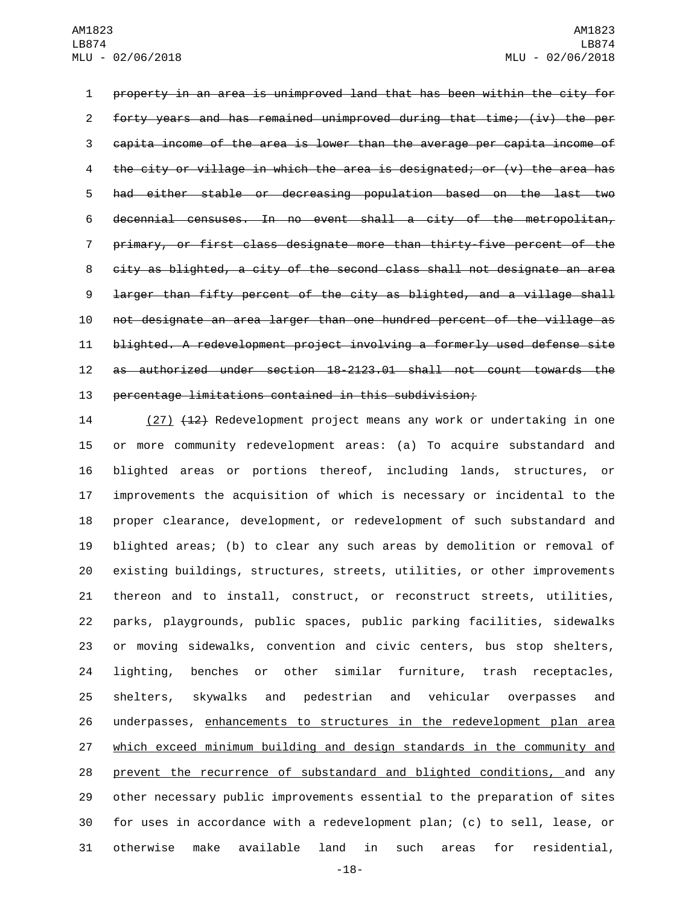property in an area is unimproved land that has been within the city for forty years and has remained unimproved during that time; (iv) the per capita income of the area is lower than the average per capita income of the city or village in which the area is designated; or (v) the area has had either stable or decreasing population based on the last two decennial censuses. In no event shall a city of the metropolitan, primary, or first class designate more than thirty-five percent of the city as blighted, a city of the second class shall not designate an area larger than fifty percent of the city as blighted, and a village shall not designate an area larger than one hundred percent of the village as blighted. A redevelopment project involving a formerly used defense site as authorized under section 18-2123.01 shall not count towards the percentage limitations contained in this subdivision;

14 (27) (12) Redevelopment project means any work or undertaking in one or more community redevelopment areas: (a) To acquire substandard and blighted areas or portions thereof, including lands, structures, or improvements the acquisition of which is necessary or incidental to the proper clearance, development, or redevelopment of such substandard and blighted areas; (b) to clear any such areas by demolition or removal of existing buildings, structures, streets, utilities, or other improvements thereon and to install, construct, or reconstruct streets, utilities, parks, playgrounds, public spaces, public parking facilities, sidewalks or moving sidewalks, convention and civic centers, bus stop shelters, lighting, benches or other similar furniture, trash receptacles, shelters, skywalks and pedestrian and vehicular overpasses and underpasses, enhancements to structures in the redevelopment plan area which exceed minimum building and design standards in the community and prevent the recurrence of substandard and blighted conditions, and any other necessary public improvements essential to the preparation of sites for uses in accordance with a redevelopment plan; (c) to sell, lease, or otherwise make available land in such areas for residential,

-18-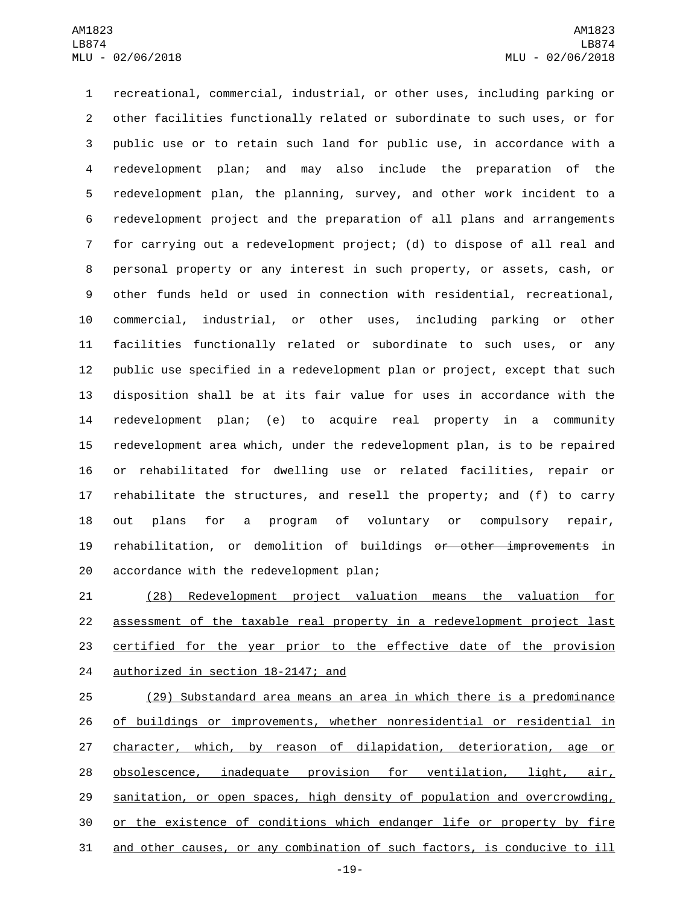recreational, commercial, industrial, or other uses, including parking or other facilities functionally related or subordinate to such uses, or for public use or to retain such land for public use, in accordance with a redevelopment plan; and may also include the preparation of the redevelopment plan, the planning, survey, and other work incident to a redevelopment project and the preparation of all plans and arrangements for carrying out a redevelopment project; (d) to dispose of all real and personal property or any interest in such property, or assets, cash, or other funds held or used in connection with residential, recreational, commercial, industrial, or other uses, including parking or other facilities functionally related or subordinate to such uses, or any public use specified in a redevelopment plan or project, except that such disposition shall be at its fair value for uses in accordance with the redevelopment plan; (e) to acquire real property in a community redevelopment area which, under the redevelopment plan, is to be repaired or rehabilitated for dwelling use or related facilities, repair or rehabilitate the structures, and resell the property; and (f) to carry out plans for a program of voluntary or compulsory repair, 19 rehabilitation, or demolition of buildings or other improvements in 20 accordance with the redevelopment plan;

 (28) Redevelopment project valuation means the valuation for assessment of the taxable real property in a redevelopment project last certified for the year prior to the effective date of the provision 24 authorized in section 18-2147; and

 (29) Substandard area means an area in which there is a predominance of buildings or improvements, whether nonresidential or residential in character, which, by reason of dilapidation, deterioration, age or 28 obsolescence, inadequate provision for ventilation, light, air, sanitation, or open spaces, high density of population and overcrowding, or the existence of conditions which endanger life or property by fire and other causes, or any combination of such factors, is conducive to ill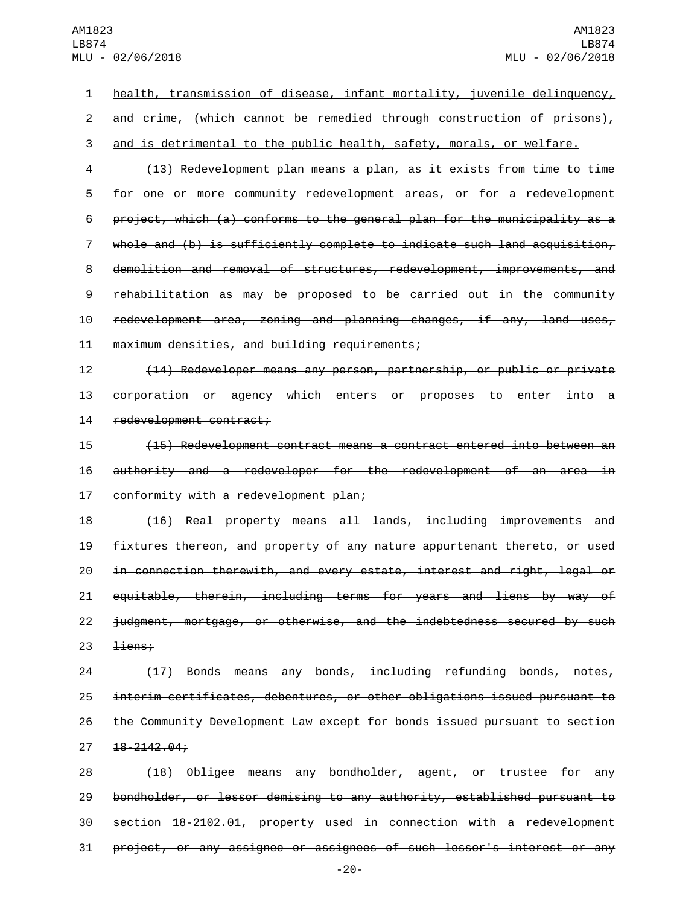| 1              | health, transmission of disease, infant mortality, juvenile delinquency,  |
|----------------|---------------------------------------------------------------------------|
| $\overline{c}$ | and crime, (which cannot be remedied through construction of prisons),    |
| 3              | and is detrimental to the public health, safety, morals, or welfare.      |
| 4              | (13) Redevelopment plan means a plan, as it exists from time to time      |
| 5              | for one or more community redevelopment areas, or for a redevelopment     |
| 6              | project, which (a) conforms to the general plan for the municipality as a |
| $\overline{7}$ | whole and (b) is sufficiently complete to indicate such land acquisition, |
| 8              | demolition and removal of structures, redevelopment, improvements, and    |
| 9              | rehabilitation as may be proposed to be carried out in the community      |
| 10             | redevelopment area, zoning and planning changes, if any, land uses,       |
| 11             | maximum densities, and building requirements;                             |
| 12             | (14) Redeveloper means any person, partnership, or public or private      |
| 13             | corporation or agency which enters or proposes to enter into a            |
| 14             | redevelopment contract;                                                   |
| 15             | (15) Redevelopment contract means a contract entered into between an      |
| 16             | authority and a redeveloper for the redevelopment of an area in           |
| 17             | conformity with a redevelopment plan;                                     |
| 18             | (16) Real property means all lands, including improvements and            |
| 19             | fixtures thereon, and property of any nature appurtenant thereto, or used |
| 20             | in connection therewith, and every estate, interest and right, legal or   |
| 21             | equitable, therein, including terms for years and liens by way of         |
| 22             | judgment, mortgage, or otherwise, and the indebtedness secured by such    |
| 23             | <del>liens;</del>                                                         |
| 24             | (17) Bonds means any bonds, including refunding bonds, notes,             |
| 25             | interim certificates, debentures, or other obligations issued pursuant to |
| 26             | the Community Development Law except for bonds issued pursuant to section |
| 27             | $18 - 2142.04 +$                                                          |
| 28             | (18) Obligee means any bondholder, agent, or trustee for any              |
| 29             | bondholder, or lessor demising to any authority, established pursuant to  |
| 30             | section 18-2102.01, property used in connection with a redevelopment      |
| 31             | project, or any assignee or assignees of such lessor's interest or any    |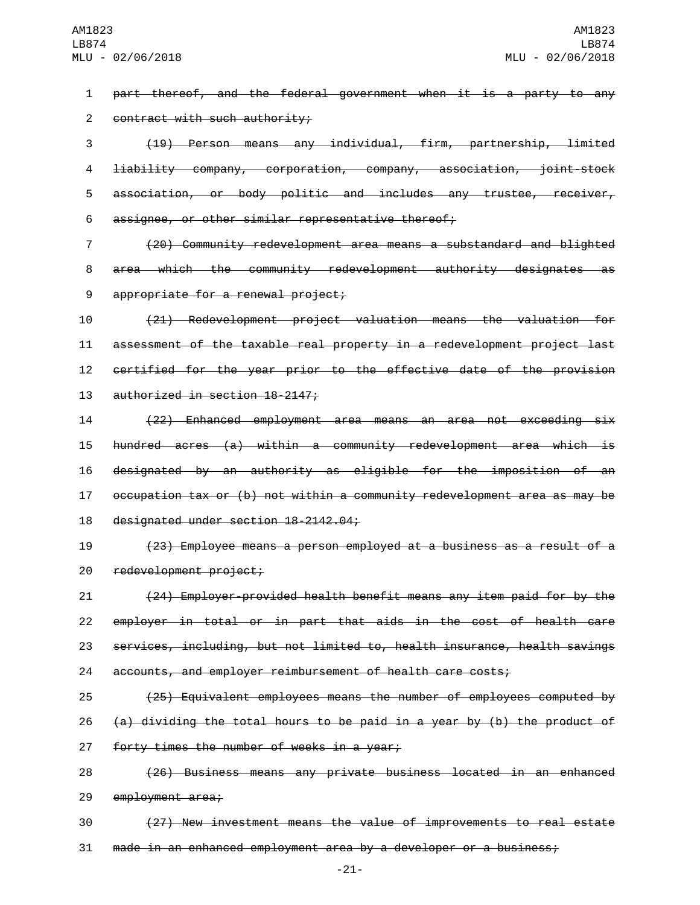1 part thereof, and the federal government when it is a party to any 2 contract with such authority;

 (19) Person means any individual, firm, partnership, limited liability company, corporation, company, association, joint-stock association, or body politic and includes any trustee, receiver, 6 assignee, or other similar representative thereof;

7 (20) Community redevelopment area means a substandard and blighted 8 area which the community redevelopment authority designates as 9 appropriate for a renewal project;

 (21) Redevelopment project valuation means the valuation for assessment of the taxable real property in a redevelopment project last certified for the year prior to the effective date of the provision 13 authorized in section 18-2147;

 (22) Enhanced employment area means an area not exceeding six hundred acres (a) within a community redevelopment area which is designated by an authority as eligible for the imposition of an occupation tax or (b) not within a community redevelopment area as may be 18 designated under section 18-2142.04;

19 (23) Employee means a person employed at a business as a result of a 20 redevelopment project;

 (24) Employer-provided health benefit means any item paid for by the employer in total or in part that aids in the cost of health care services, including, but not limited to, health insurance, health savings accounts, and employer reimbursement of health care costs;

25 (25) Equivalent employees means the number of employees computed by 26  $(a)$  dividing the total hours to be paid in a year by (b) the product of 27 forty times the number of weeks in a year;

28 (26) Business means any private business located in an enhanced 29 employment area;

30 (27) New investment means the value of improvements to real estate 31 made in an enhanced employment area by a developer or a business;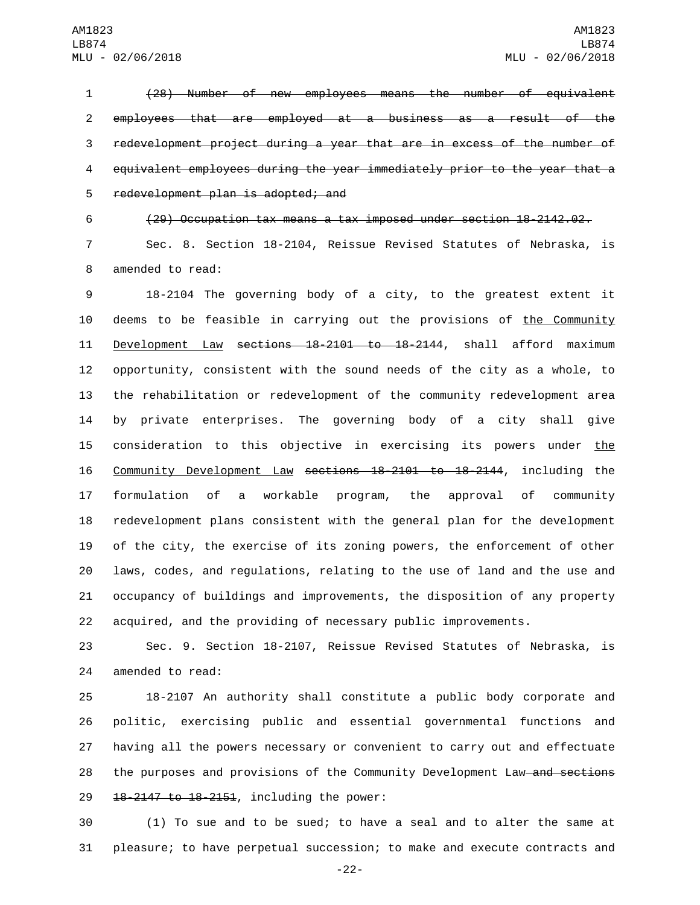(28) Number of new employees means the number of equivalent employees that are employed at a business as a result of the redevelopment project during a year that are in excess of the number of equivalent employees during the year immediately prior to the year that a 5 redevelopment plan is adopted; and

(29) Occupation tax means a tax imposed under section 18-2142.02.

 Sec. 8. Section 18-2104, Reissue Revised Statutes of Nebraska, is 8 amended to read:

 18-2104 The governing body of a city, to the greatest extent it deems to be feasible in carrying out the provisions of the Community 11 Development Law sections 18-2101 to 18-2144, shall afford maximum opportunity, consistent with the sound needs of the city as a whole, to the rehabilitation or redevelopment of the community redevelopment area by private enterprises. The governing body of a city shall give 15 consideration to this objective in exercising its powers under the Community Development Law sections 18-2101 to 18-2144, including the formulation of a workable program, the approval of community redevelopment plans consistent with the general plan for the development of the city, the exercise of its zoning powers, the enforcement of other laws, codes, and regulations, relating to the use of land and the use and occupancy of buildings and improvements, the disposition of any property acquired, and the providing of necessary public improvements.

 Sec. 9. Section 18-2107, Reissue Revised Statutes of Nebraska, is 24 amended to read:

 18-2107 An authority shall constitute a public body corporate and politic, exercising public and essential governmental functions and having all the powers necessary or convenient to carry out and effectuate 28 the purposes and provisions of the Community Development Law and sections 29 18-2147 to 18-2151, including the power:

 (1) To sue and to be sued; to have a seal and to alter the same at pleasure; to have perpetual succession; to make and execute contracts and

-22-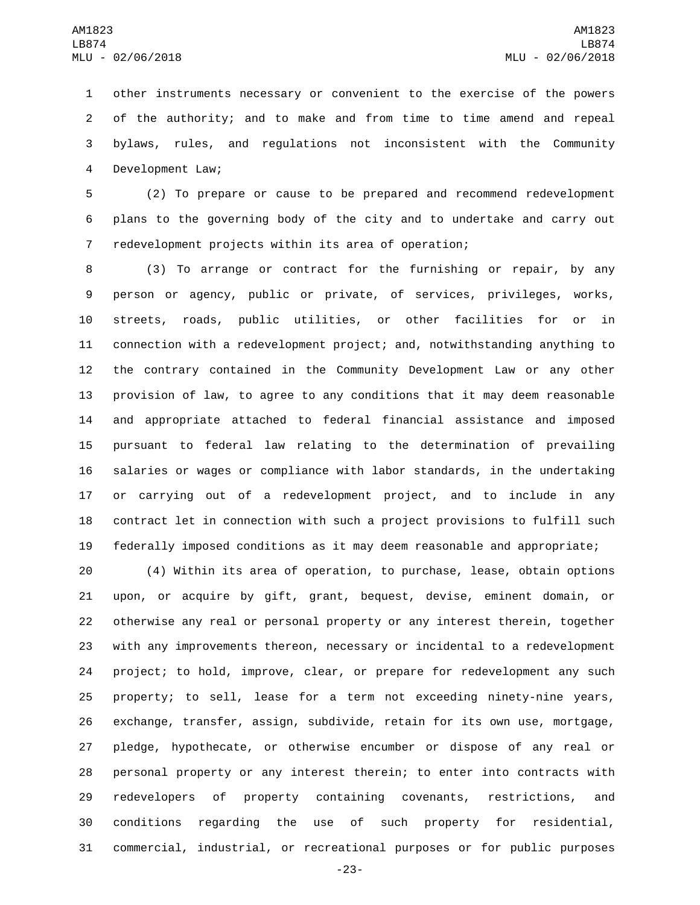other instruments necessary or convenient to the exercise of the powers of the authority; and to make and from time to time amend and repeal bylaws, rules, and regulations not inconsistent with the Community 4 Development Law;

 (2) To prepare or cause to be prepared and recommend redevelopment plans to the governing body of the city and to undertake and carry out redevelopment projects within its area of operation;

 (3) To arrange or contract for the furnishing or repair, by any person or agency, public or private, of services, privileges, works, streets, roads, public utilities, or other facilities for or in connection with a redevelopment project; and, notwithstanding anything to the contrary contained in the Community Development Law or any other provision of law, to agree to any conditions that it may deem reasonable and appropriate attached to federal financial assistance and imposed pursuant to federal law relating to the determination of prevailing salaries or wages or compliance with labor standards, in the undertaking or carrying out of a redevelopment project, and to include in any contract let in connection with such a project provisions to fulfill such federally imposed conditions as it may deem reasonable and appropriate;

 (4) Within its area of operation, to purchase, lease, obtain options upon, or acquire by gift, grant, bequest, devise, eminent domain, or otherwise any real or personal property or any interest therein, together with any improvements thereon, necessary or incidental to a redevelopment project; to hold, improve, clear, or prepare for redevelopment any such property; to sell, lease for a term not exceeding ninety-nine years, exchange, transfer, assign, subdivide, retain for its own use, mortgage, pledge, hypothecate, or otherwise encumber or dispose of any real or personal property or any interest therein; to enter into contracts with redevelopers of property containing covenants, restrictions, and conditions regarding the use of such property for residential, commercial, industrial, or recreational purposes or for public purposes

-23-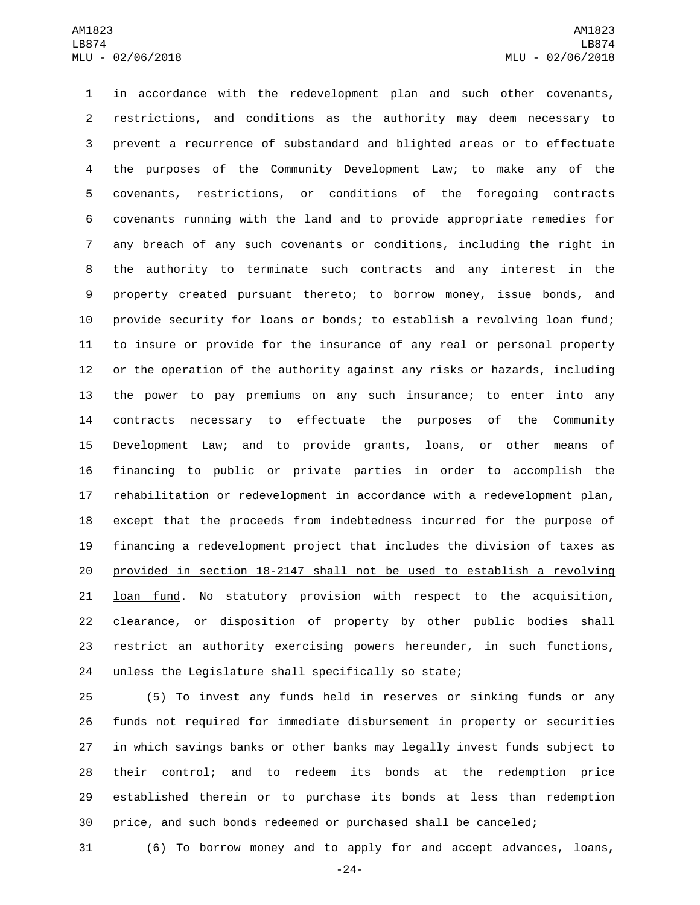in accordance with the redevelopment plan and such other covenants, restrictions, and conditions as the authority may deem necessary to prevent a recurrence of substandard and blighted areas or to effectuate the purposes of the Community Development Law; to make any of the covenants, restrictions, or conditions of the foregoing contracts covenants running with the land and to provide appropriate remedies for any breach of any such covenants or conditions, including the right in the authority to terminate such contracts and any interest in the property created pursuant thereto; to borrow money, issue bonds, and provide security for loans or bonds; to establish a revolving loan fund; to insure or provide for the insurance of any real or personal property or the operation of the authority against any risks or hazards, including the power to pay premiums on any such insurance; to enter into any contracts necessary to effectuate the purposes of the Community Development Law; and to provide grants, loans, or other means of financing to public or private parties in order to accomplish the 17 rehabilitation or redevelopment in accordance with a redevelopment plan $<sub>L</sub>$ </sub> 18 except that the proceeds from indebtedness incurred for the purpose of financing a redevelopment project that includes the division of taxes as provided in section 18-2147 shall not be used to establish a revolving **loan fund.** No statutory provision with respect to the acquisition, clearance, or disposition of property by other public bodies shall restrict an authority exercising powers hereunder, in such functions, unless the Legislature shall specifically so state;

 (5) To invest any funds held in reserves or sinking funds or any funds not required for immediate disbursement in property or securities in which savings banks or other banks may legally invest funds subject to their control; and to redeem its bonds at the redemption price established therein or to purchase its bonds at less than redemption price, and such bonds redeemed or purchased shall be canceled;

(6) To borrow money and to apply for and accept advances, loans,

-24-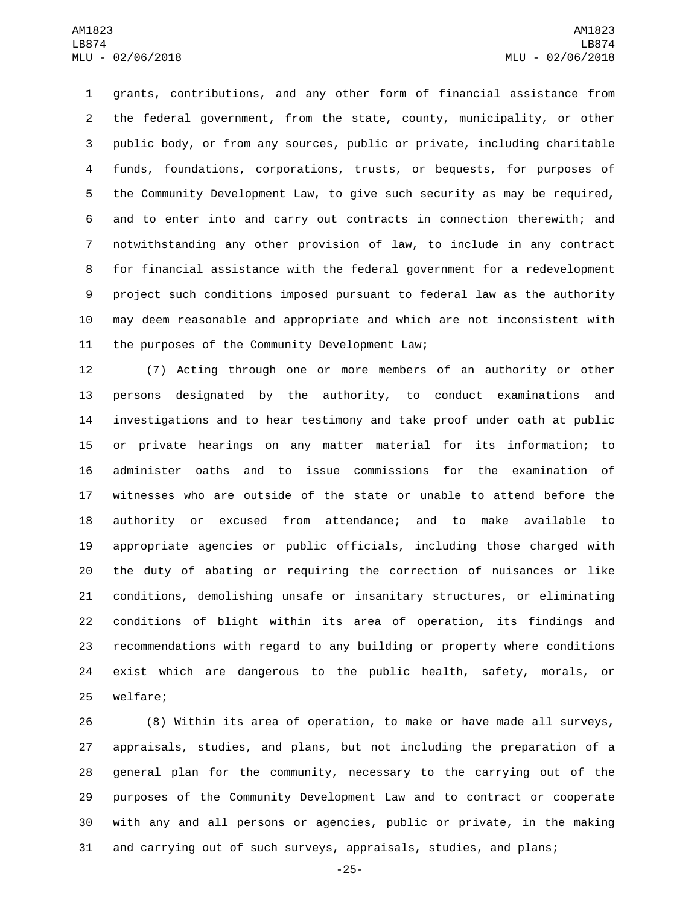grants, contributions, and any other form of financial assistance from the federal government, from the state, county, municipality, or other public body, or from any sources, public or private, including charitable funds, foundations, corporations, trusts, or bequests, for purposes of the Community Development Law, to give such security as may be required, and to enter into and carry out contracts in connection therewith; and notwithstanding any other provision of law, to include in any contract for financial assistance with the federal government for a redevelopment project such conditions imposed pursuant to federal law as the authority may deem reasonable and appropriate and which are not inconsistent with 11 the purposes of the Community Development Law;

 (7) Acting through one or more members of an authority or other persons designated by the authority, to conduct examinations and investigations and to hear testimony and take proof under oath at public or private hearings on any matter material for its information; to administer oaths and to issue commissions for the examination of witnesses who are outside of the state or unable to attend before the authority or excused from attendance; and to make available to appropriate agencies or public officials, including those charged with the duty of abating or requiring the correction of nuisances or like conditions, demolishing unsafe or insanitary structures, or eliminating conditions of blight within its area of operation, its findings and recommendations with regard to any building or property where conditions exist which are dangerous to the public health, safety, morals, or 25 welfare;

 (8) Within its area of operation, to make or have made all surveys, appraisals, studies, and plans, but not including the preparation of a general plan for the community, necessary to the carrying out of the purposes of the Community Development Law and to contract or cooperate with any and all persons or agencies, public or private, in the making and carrying out of such surveys, appraisals, studies, and plans;

-25-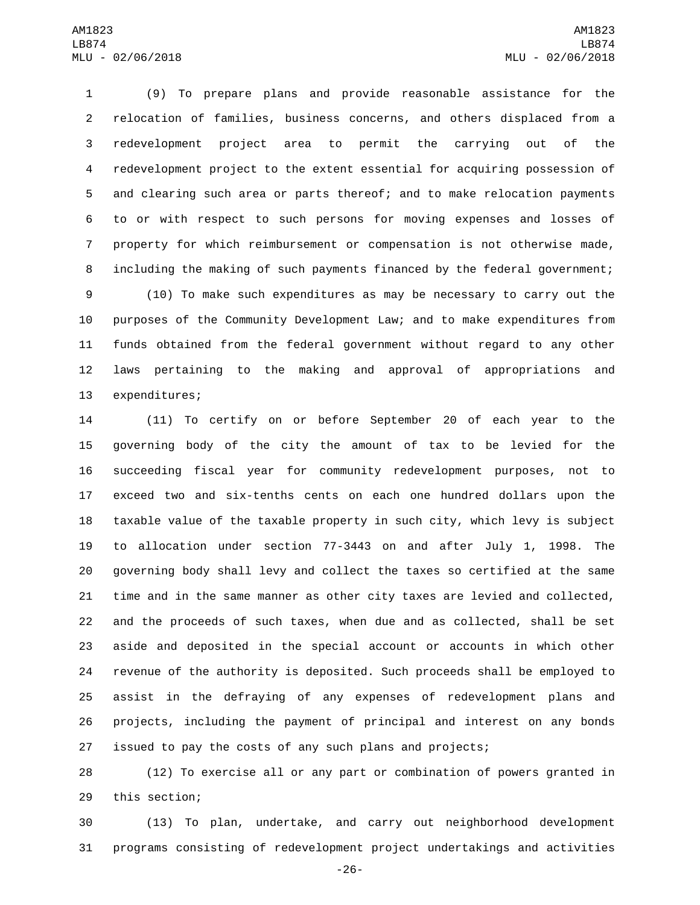(9) To prepare plans and provide reasonable assistance for the relocation of families, business concerns, and others displaced from a redevelopment project area to permit the carrying out of the redevelopment project to the extent essential for acquiring possession of and clearing such area or parts thereof; and to make relocation payments to or with respect to such persons for moving expenses and losses of property for which reimbursement or compensation is not otherwise made, including the making of such payments financed by the federal government;

 (10) To make such expenditures as may be necessary to carry out the purposes of the Community Development Law; and to make expenditures from funds obtained from the federal government without regard to any other laws pertaining to the making and approval of appropriations and 13 expenditures;

 (11) To certify on or before September 20 of each year to the governing body of the city the amount of tax to be levied for the succeeding fiscal year for community redevelopment purposes, not to exceed two and six-tenths cents on each one hundred dollars upon the taxable value of the taxable property in such city, which levy is subject to allocation under section 77-3443 on and after July 1, 1998. The governing body shall levy and collect the taxes so certified at the same time and in the same manner as other city taxes are levied and collected, and the proceeds of such taxes, when due and as collected, shall be set aside and deposited in the special account or accounts in which other revenue of the authority is deposited. Such proceeds shall be employed to assist in the defraying of any expenses of redevelopment plans and projects, including the payment of principal and interest on any bonds issued to pay the costs of any such plans and projects;

 (12) To exercise all or any part or combination of powers granted in 29 this section;

 (13) To plan, undertake, and carry out neighborhood development programs consisting of redevelopment project undertakings and activities

-26-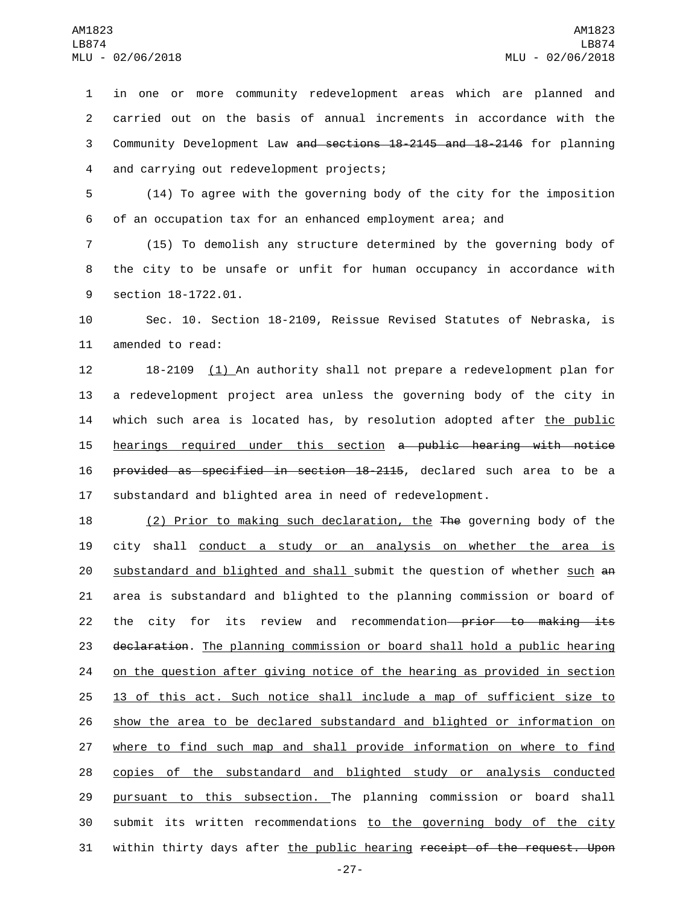in one or more community redevelopment areas which are planned and carried out on the basis of annual increments in accordance with the Community Development Law and sections 18-2145 and 18-2146 for planning 4 and carrying out redevelopment projects;

5 (14) To agree with the governing body of the city for the imposition 6 of an occupation tax for an enhanced employment area; and

7 (15) To demolish any structure determined by the governing body of 8 the city to be unsafe or unfit for human occupancy in accordance with 9 section 18-1722.01.

10 Sec. 10. Section 18-2109, Reissue Revised Statutes of Nebraska, is 11 amended to read:

 18-2109 (1) An authority shall not prepare a redevelopment plan for a redevelopment project area unless the governing body of the city in which such area is located has, by resolution adopted after the public hearings required under this section a public hearing with notice provided as specified in section 18-2115, declared such area to be a substandard and blighted area in need of redevelopment.

18 (2) Prior to making such declaration, the The governing body of the 19 city shall conduct a study or an analysis on whether the area is 20 substandard and blighted and shall submit the question of whether such an 21 area is substandard and blighted to the planning commission or board of 22 the city for its review and recommendation—prior to making its 23 declaration. The planning commission or board shall hold a public hearing 24 on the question after giving notice of the hearing as provided in section 25 13 of this act. Such notice shall include a map of sufficient size to 26 show the area to be declared substandard and blighted or information on 27 where to find such map and shall provide information on where to find 28 copies of the substandard and blighted study or analysis conducted 29 pursuant to this subsection. The planning commission or board shall 30 submit its written recommendations to the governing body of the city 31 within thirty days after the public hearing receipt of the request. Upon

-27-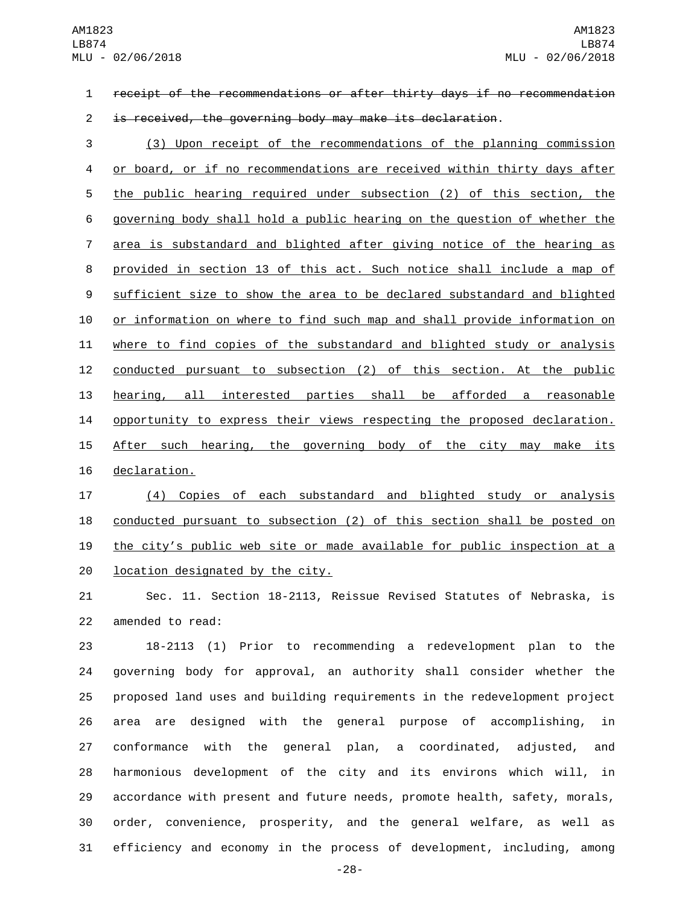receipt of the recommendations or after thirty days if no recommendation

is received, the governing body may make its declaration.

 (3) Upon receipt of the recommendations of the planning commission or board, or if no recommendations are received within thirty days after the public hearing required under subsection (2) of this section, the governing body shall hold a public hearing on the question of whether the area is substandard and blighted after giving notice of the hearing as provided in section 13 of this act. Such notice shall include a map of sufficient size to show the area to be declared substandard and blighted or information on where to find such map and shall provide information on where to find copies of the substandard and blighted study or analysis conducted pursuant to subsection (2) of this section. At the public hearing, all interested parties shall be afforded a reasonable 14 opportunity to express their views respecting the proposed declaration. 15 After such hearing, the governing body of the city may make its 16 declaration.

 (4) Copies of each substandard and blighted study or analysis conducted pursuant to subsection (2) of this section shall be posted on the city's public web site or made available for public inspection at a location designated by the city.

 Sec. 11. Section 18-2113, Reissue Revised Statutes of Nebraska, is 22 amended to read:

 18-2113 (1) Prior to recommending a redevelopment plan to the governing body for approval, an authority shall consider whether the proposed land uses and building requirements in the redevelopment project area are designed with the general purpose of accomplishing, in conformance with the general plan, a coordinated, adjusted, and harmonious development of the city and its environs which will, in accordance with present and future needs, promote health, safety, morals, order, convenience, prosperity, and the general welfare, as well as efficiency and economy in the process of development, including, among

-28-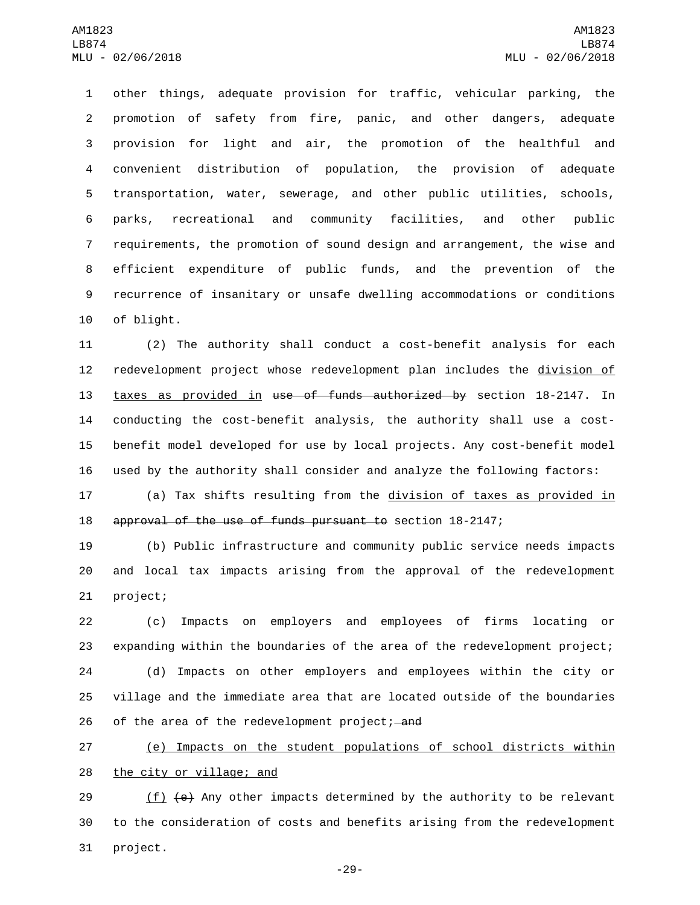other things, adequate provision for traffic, vehicular parking, the promotion of safety from fire, panic, and other dangers, adequate provision for light and air, the promotion of the healthful and convenient distribution of population, the provision of adequate transportation, water, sewerage, and other public utilities, schools, parks, recreational and community facilities, and other public requirements, the promotion of sound design and arrangement, the wise and efficient expenditure of public funds, and the prevention of the recurrence of insanitary or unsafe dwelling accommodations or conditions 10 of blight.

 (2) The authority shall conduct a cost-benefit analysis for each 12 redevelopment project whose redevelopment plan includes the division of taxes as provided in use of funds authorized by section 18-2147. In conducting the cost-benefit analysis, the authority shall use a cost- benefit model developed for use by local projects. Any cost-benefit model used by the authority shall consider and analyze the following factors:

17 (a) Tax shifts resulting from the division of taxes as provided in approval of the use of funds pursuant to section 18-2147;

 (b) Public infrastructure and community public service needs impacts and local tax impacts arising from the approval of the redevelopment 21 project;

 (c) Impacts on employers and employees of firms locating or expanding within the boundaries of the area of the redevelopment project; (d) Impacts on other employers and employees within the city or village and the immediate area that are located outside of the boundaries 26 of the area of the redevelopment project; and

 (e) Impacts on the student populations of school districts within 28 the city or village; and

29 (f)  $\left(\frac{e}{r}\right)$  Any other impacts determined by the authority to be relevant to the consideration of costs and benefits arising from the redevelopment 31 project.

-29-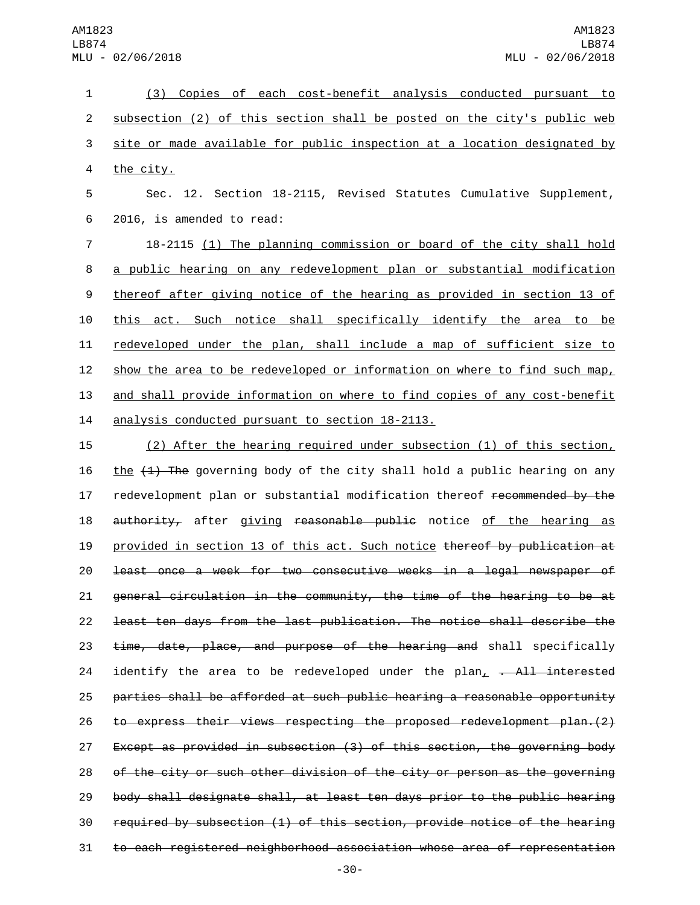(3) Copies of each cost-benefit analysis conducted pursuant to subsection (2) of this section shall be posted on the city's public web site or made available for public inspection at a location designated by 4 the city.

5 Sec. 12. Section 18-2115, Revised Statutes Cumulative Supplement, 2016, is amended to read:6

 18-2115 (1) The planning commission or board of the city shall hold a public hearing on any redevelopment plan or substantial modification thereof after giving notice of the hearing as provided in section 13 of this act. Such notice shall specifically identify the area to be redeveloped under the plan, shall include a map of sufficient size to 12 show the area to be redeveloped or information on where to find such map, and shall provide information on where to find copies of any cost-benefit 14 analysis conducted pursuant to section 18-2113.

 (2) After the hearing required under subsection (1) of this section, 16 the  $(1)$  The governing body of the city shall hold a public hearing on any 17 redevelopment plan or substantial modification thereof recommended by the 18 authority, after giving reasonable public notice of the hearing as 19 provided in section 13 of this act. Such notice thereof by publication at least once a week for two consecutive weeks in a legal newspaper of general circulation in the community, the time of the hearing to be at least ten days from the last publication. The notice shall describe the 23 time, date, place, and purpose of the hearing and shall specifically 24 identify the area to be redeveloped under the  $plan_{L} \rightarrow All$  interested parties shall be afforded at such public hearing a reasonable opportunity to express their views respecting the proposed redevelopment plan.(2) Except as provided in subsection (3) of this section, the governing body of the city or such other division of the city or person as the governing body shall designate shall, at least ten days prior to the public hearing required by subsection (1) of this section, provide notice of the hearing to each registered neighborhood association whose area of representation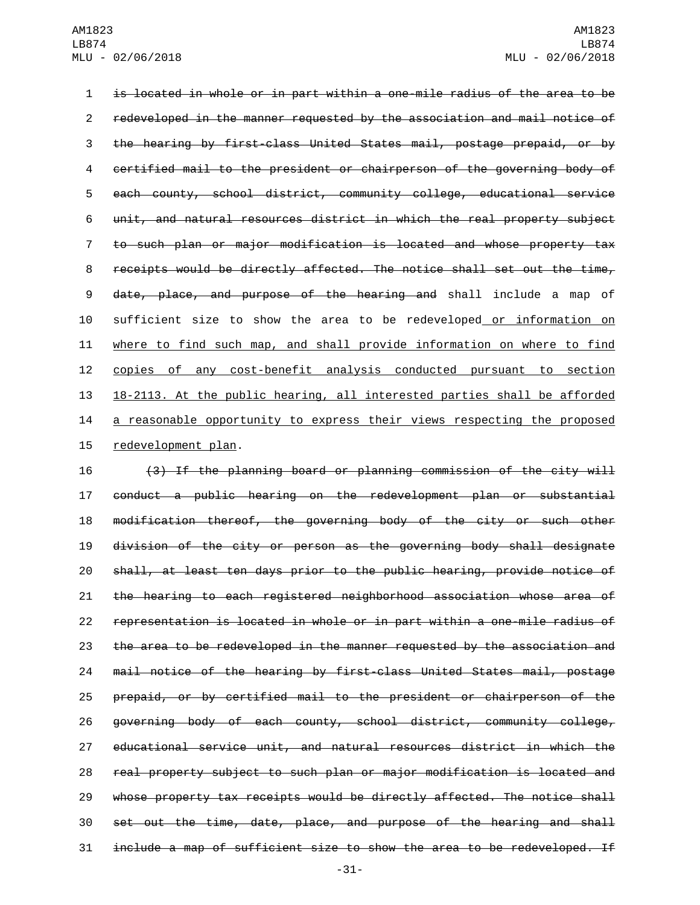is located in whole or in part within a one-mile radius of the area to be redeveloped in the manner requested by the association and mail notice of the hearing by first-class United States mail, postage prepaid, or by certified mail to the president or chairperson of the governing body of each county, school district, community college, educational service unit, and natural resources district in which the real property subject to such plan or major modification is located and whose property tax receipts would be directly affected. The notice shall set out the time, date, place, and purpose of the hearing and shall include a map of sufficient size to show the area to be redeveloped or information on where to find such map, and shall provide information on where to find copies of any cost-benefit analysis conducted pursuant to section 18-2113. At the public hearing, all interested parties shall be afforded 14 a reasonable opportunity to express their views respecting the proposed 15 redevelopment plan.

 (3) If the planning board or planning commission of the city will conduct a public hearing on the redevelopment plan or substantial modification thereof, the governing body of the city or such other division of the city or person as the governing body shall designate shall, at least ten days prior to the public hearing, provide notice of the hearing to each registered neighborhood association whose area of representation is located in whole or in part within a one-mile radius of the area to be redeveloped in the manner requested by the association and mail notice of the hearing by first-class United States mail, postage prepaid, or by certified mail to the president or chairperson of the governing body of each county, school district, community college, educational service unit, and natural resources district in which the real property subject to such plan or major modification is located and whose property tax receipts would be directly affected. The notice shall set out the time, date, place, and purpose of the hearing and shall include a map of sufficient size to show the area to be redeveloped. If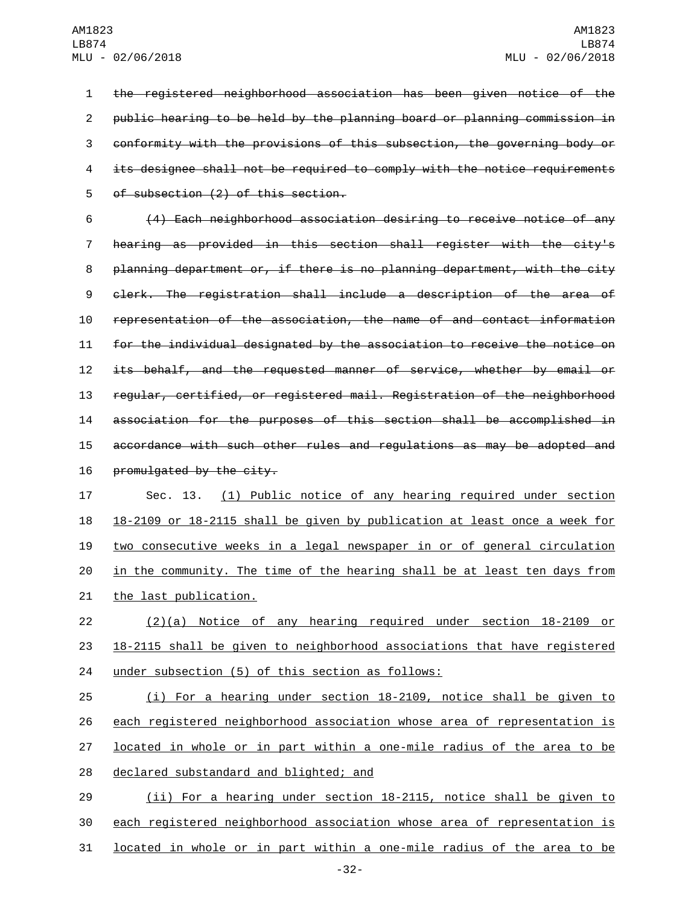the registered neighborhood association has been given notice of the public hearing to be held by the planning board or planning commission in conformity with the provisions of this subsection, the governing body or its designee shall not be required to comply with the notice requirements 5 of subsection (2) of this section.

 (4) Each neighborhood association desiring to receive notice of any hearing as provided in this section shall register with the city's planning department or, if there is no planning department, with the city clerk. The registration shall include a description of the area of representation of the association, the name of and contact information for the individual designated by the association to receive the notice on its behalf, and the requested manner of service, whether by email or regular, certified, or registered mail. Registration of the neighborhood association for the purposes of this section shall be accomplished in accordance with such other rules and regulations as may be adopted and 16 promulgated by the city.

 Sec. 13. (1) Public notice of any hearing required under section 18-2109 or 18-2115 shall be given by publication at least once a week for two consecutive weeks in a legal newspaper in or of general circulation in the community. The time of the hearing shall be at least ten days from 21 the last publication.

 (2)(a) Notice of any hearing required under section 18-2109 or 18-2115 shall be given to neighborhood associations that have registered 24 under subsection (5) of this section as follows:

 (i) For a hearing under section 18-2109, notice shall be given to each registered neighborhood association whose area of representation is located in whole or in part within a one-mile radius of the area to be 28 declared substandard and blighted; and

 (ii) For a hearing under section 18-2115, notice shall be given to each registered neighborhood association whose area of representation is located in whole or in part within a one-mile radius of the area to be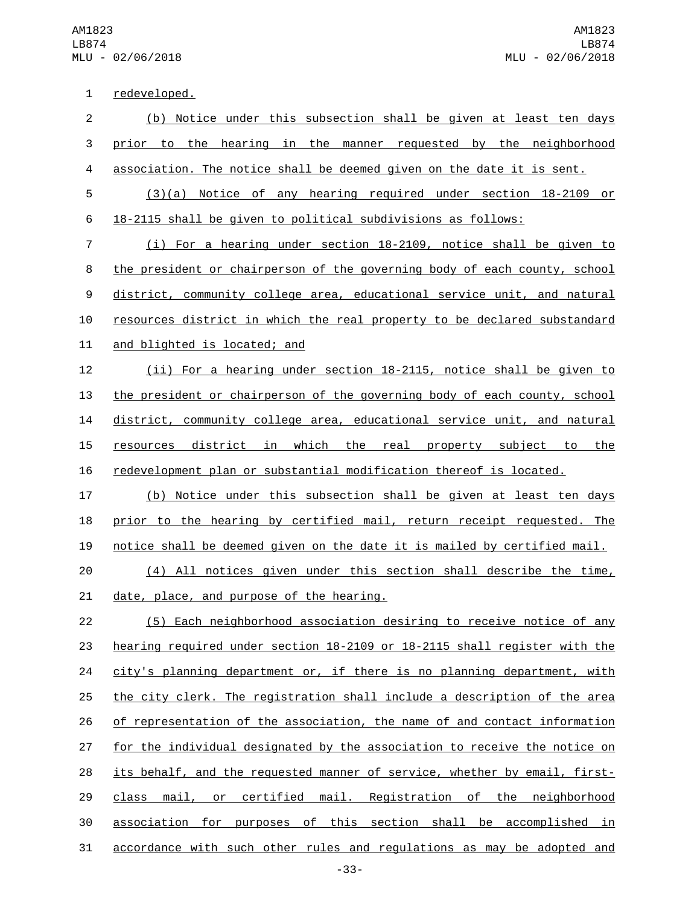1 redeveloped.

 (b) Notice under this subsection shall be given at least ten days prior to the hearing in the manner requested by the neighborhood association. The notice shall be deemed given on the date it is sent. (3)(a) Notice of any hearing required under section 18-2109 or 18-2115 shall be given to political subdivisions as follows: (i) For a hearing under section 18-2109, notice shall be given to the president or chairperson of the governing body of each county, school district, community college area, educational service unit, and natural resources district in which the real property to be declared substandard 11 and blighted is located; and (ii) For a hearing under section 18-2115, notice shall be given to the president or chairperson of the governing body of each county, school 14 district, community college area, educational service unit, and natural 15 resources district in which the real property subject to the redevelopment plan or substantial modification thereof is located. (b) Notice under this subsection shall be given at least ten days prior to the hearing by certified mail, return receipt requested. The notice shall be deemed given on the date it is mailed by certified mail. (4) All notices given under this section shall describe the time, 21 date, place, and purpose of the hearing. (5) Each neighborhood association desiring to receive notice of any hearing required under section 18-2109 or 18-2115 shall register with the

24 city's planning department or, if there is no planning department, with the city clerk. The registration shall include a description of the area of representation of the association, the name of and contact information 27 for the individual designated by the association to receive the notice on its behalf, and the requested manner of service, whether by email, first- class mail, or certified mail. Registration of the neighborhood association for purposes of this section shall be accomplished in accordance with such other rules and regulations as may be adopted and

-33-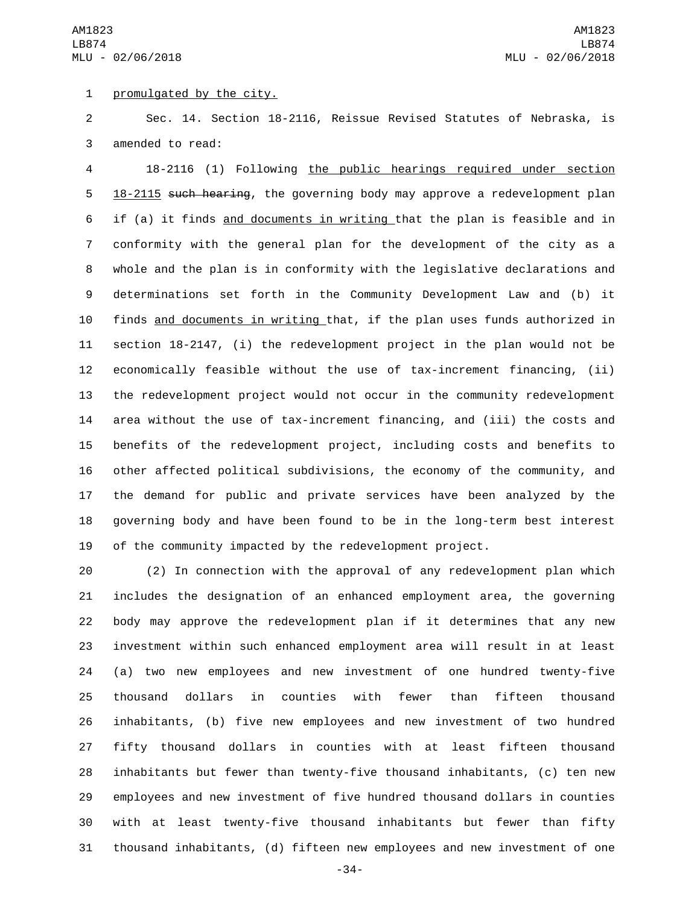AM1823 LB874 MLU - 02/06/2018

1 promulgated by the city.

 Sec. 14. Section 18-2116, Reissue Revised Statutes of Nebraska, is 3 amended to read:

 18-2116 (1) Following the public hearings required under section 5 18-2115 such hearing, the governing body may approve a redevelopment plan if (a) it finds and documents in writing that the plan is feasible and in conformity with the general plan for the development of the city as a whole and the plan is in conformity with the legislative declarations and determinations set forth in the Community Development Law and (b) it finds and documents in writing that, if the plan uses funds authorized in section 18-2147, (i) the redevelopment project in the plan would not be economically feasible without the use of tax-increment financing, (ii) the redevelopment project would not occur in the community redevelopment area without the use of tax-increment financing, and (iii) the costs and benefits of the redevelopment project, including costs and benefits to other affected political subdivisions, the economy of the community, and the demand for public and private services have been analyzed by the governing body and have been found to be in the long-term best interest of the community impacted by the redevelopment project.

 (2) In connection with the approval of any redevelopment plan which includes the designation of an enhanced employment area, the governing body may approve the redevelopment plan if it determines that any new investment within such enhanced employment area will result in at least (a) two new employees and new investment of one hundred twenty-five thousand dollars in counties with fewer than fifteen thousand inhabitants, (b) five new employees and new investment of two hundred fifty thousand dollars in counties with at least fifteen thousand inhabitants but fewer than twenty-five thousand inhabitants, (c) ten new employees and new investment of five hundred thousand dollars in counties with at least twenty-five thousand inhabitants but fewer than fifty thousand inhabitants, (d) fifteen new employees and new investment of one

-34-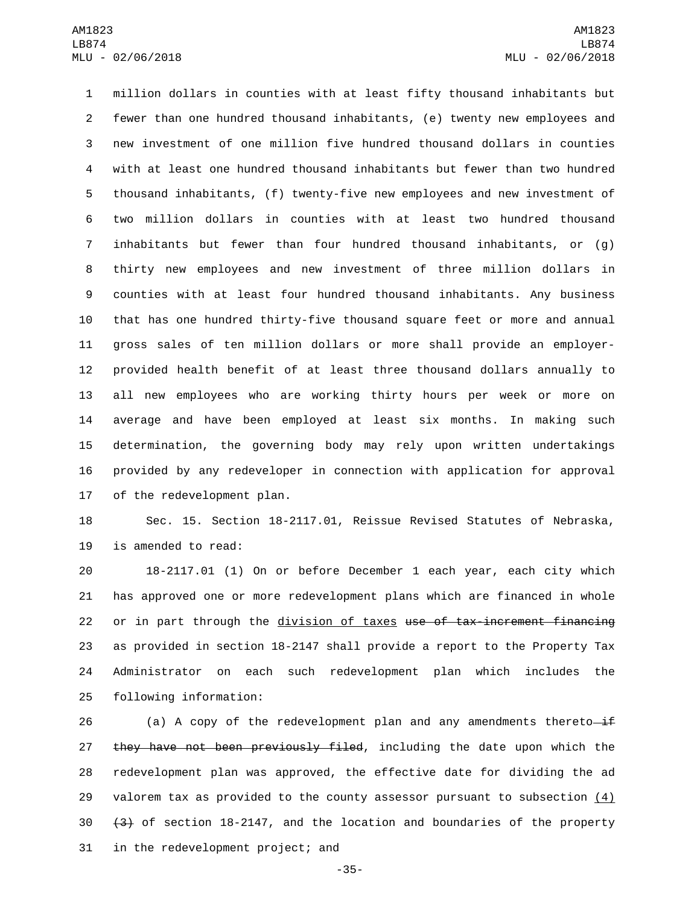million dollars in counties with at least fifty thousand inhabitants but fewer than one hundred thousand inhabitants, (e) twenty new employees and new investment of one million five hundred thousand dollars in counties with at least one hundred thousand inhabitants but fewer than two hundred thousand inhabitants, (f) twenty-five new employees and new investment of two million dollars in counties with at least two hundred thousand inhabitants but fewer than four hundred thousand inhabitants, or (g) thirty new employees and new investment of three million dollars in counties with at least four hundred thousand inhabitants. Any business that has one hundred thirty-five thousand square feet or more and annual gross sales of ten million dollars or more shall provide an employer- provided health benefit of at least three thousand dollars annually to all new employees who are working thirty hours per week or more on average and have been employed at least six months. In making such determination, the governing body may rely upon written undertakings provided by any redeveloper in connection with application for approval 17 of the redevelopment plan.

18 Sec. 15. Section 18-2117.01, Reissue Revised Statutes of Nebraska, 19 is amended to read:

 18-2117.01 (1) On or before December 1 each year, each city which has approved one or more redevelopment plans which are financed in whole 22 or in part through the division of taxes use of tax-increment financing as provided in section 18-2147 shall provide a report to the Property Tax Administrator on each such redevelopment plan which includes the 25 following information:

26 (a) A copy of the redevelopment plan and any amendments thereto $-i$ f 27 they have not been previously filed, including the date upon which the 28 redevelopment plan was approved, the effective date for dividing the ad 29 valorem tax as provided to the county assessor pursuant to subsection  $(4)$  $30 \left( \frac{4}{3} \right)$  of section 18-2147, and the location and boundaries of the property 31 in the redevelopment project; and

-35-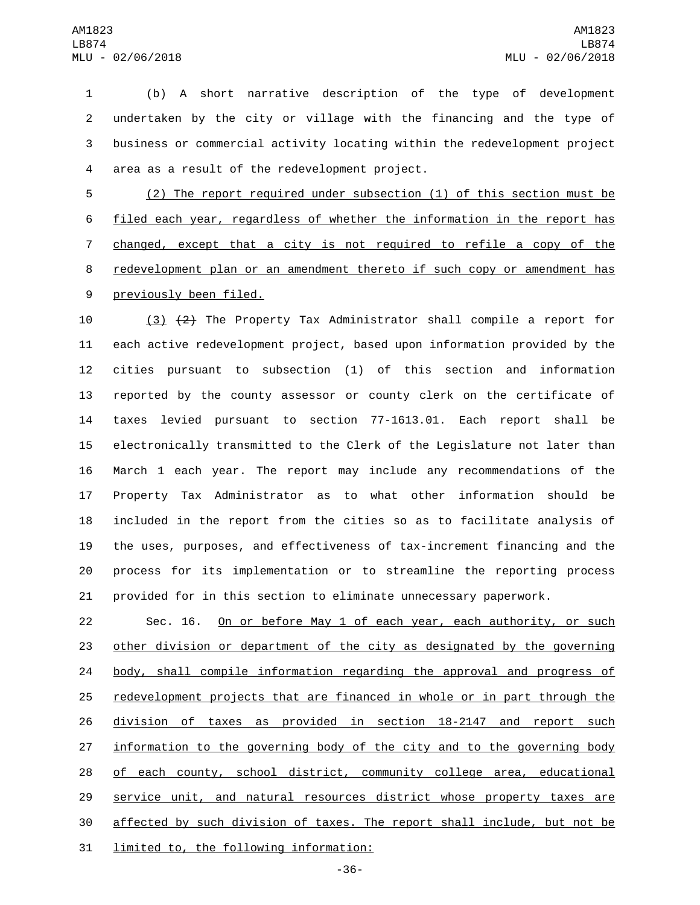(b) A short narrative description of the type of development undertaken by the city or village with the financing and the type of business or commercial activity locating within the redevelopment project 4 area as a result of the redevelopment project.

 (2) The report required under subsection (1) of this section must be filed each year, regardless of whether the information in the report has changed, except that a city is not required to refile a copy of the redevelopment plan or an amendment thereto if such copy or amendment has 9 previously been filed.

10 (3) (2) The Property Tax Administrator shall compile a report for each active redevelopment project, based upon information provided by the cities pursuant to subsection (1) of this section and information reported by the county assessor or county clerk on the certificate of taxes levied pursuant to section 77-1613.01. Each report shall be electronically transmitted to the Clerk of the Legislature not later than March 1 each year. The report may include any recommendations of the Property Tax Administrator as to what other information should be included in the report from the cities so as to facilitate analysis of the uses, purposes, and effectiveness of tax-increment financing and the process for its implementation or to streamline the reporting process provided for in this section to eliminate unnecessary paperwork.

 Sec. 16. On or before May 1 of each year, each authority, or such other division or department of the city as designated by the governing body, shall compile information regarding the approval and progress of redevelopment projects that are financed in whole or in part through the division of taxes as provided in section 18-2147 and report such 27 information to the governing body of the city and to the governing body of each county, school district, community college area, educational service unit, and natural resources district whose property taxes are affected by such division of taxes. The report shall include, but not be 31 limited to, the following information: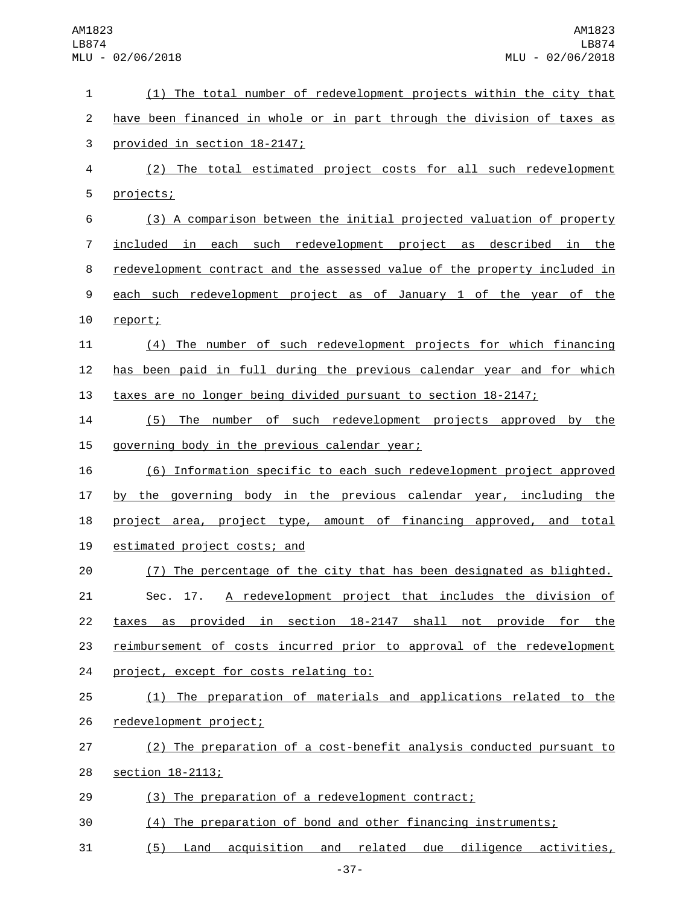| 1              | (1) The total number of redevelopment projects within the city that       |
|----------------|---------------------------------------------------------------------------|
| $\overline{c}$ | have been financed in whole or in part through the division of taxes as   |
| 3              | provided in section 18-2147;                                              |
| 4              | (2) The total estimated project costs for all such redevelopment          |
| 5              | projects;                                                                 |
| 6              | (3) A comparison between the initial projected valuation of property      |
| $\overline{7}$ | included in each such redevelopment project as described in the           |
| 8              | redevelopment contract and the assessed value of the property included in |
| 9              | each such redevelopment project as of January 1 of the year of the        |
| 10             | report;                                                                   |
| 11             | (4) The number of such redevelopment projects for which financing         |
| 12             | has been paid in full during the previous calendar year and for which     |
| 13             | taxes are no longer being divided pursuant to section 18-2147;            |
| 14             | The number of such redevelopment projects approved by the<br>(5)          |
| 15             | governing body in the previous calendar year;                             |
| 16             | (6) Information specific to each such redevelopment project approved      |
| 17             | by the governing body in the previous calendar year, including the        |
| 18             | project area, project type, amount of financing approved, and total       |
| 19             | estimated project costs; and                                              |
| 20             | (7) The percentage of the city that has been designated as blighted.      |
| 21             | Sec. 17. A redevelopment project that includes the division of            |
| 22             | taxes as provided in section 18-2147 shall not provide for the            |
| 23             | reimbursement of costs incurred prior to approval of the redevelopment    |
| 24             | project, except for costs relating to:                                    |
| 25             | (1) The preparation of materials and applications related to the          |
| 26             | redevelopment project;                                                    |
| 27             | (2) The preparation of a cost-benefit analysis conducted pursuant to      |
| 28             | <u>section 18-2113;</u>                                                   |
| 29             | (3) The preparation of a redevelopment contract;                          |
| 30             | (4) The preparation of bond and other financing instruments;              |
| 31             | Land acquisition and related due diligence activities,<br>(5)             |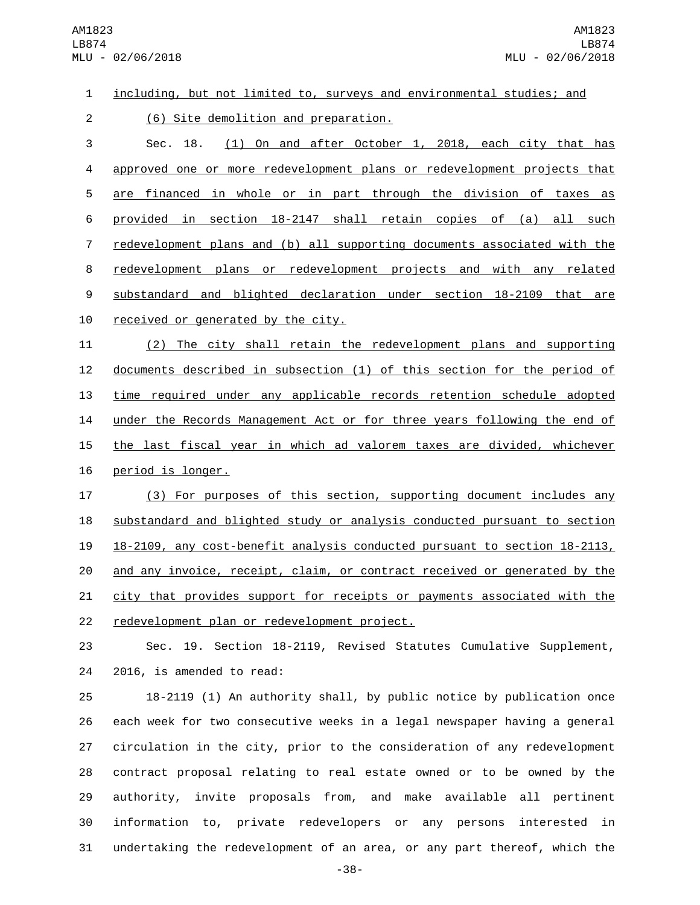## 1 including, but not limited to, surveys and environmental studies; and

(6) Site demolition and preparation.2

 Sec. 18. (1) On and after October 1, 2018, each city that has approved one or more redevelopment plans or redevelopment projects that are financed in whole or in part through the division of taxes as provided in section 18-2147 shall retain copies of (a) all such redevelopment plans and (b) all supporting documents associated with the redevelopment plans or redevelopment projects and with any related substandard and blighted declaration under section 18-2109 that are 10 received or generated by the city.

11 (2) The city shall retain the redevelopment plans and supporting 12 documents described in subsection (1) of this section for the period of 13 time required under any applicable records retention schedule adopted 14 under the Records Management Act or for three years following the end of 15 the last fiscal year in which ad valorem taxes are divided, whichever 16 period is longer.

17 (3) For purposes of this section, supporting document includes any 18 substandard and blighted study or analysis conducted pursuant to section 19 18-2109, any cost-benefit analysis conducted pursuant to section 18-2113, 20 and any invoice, receipt, claim, or contract received or generated by the 21 city that provides support for receipts or payments associated with the 22 redevelopment plan or redevelopment project.

23 Sec. 19. Section 18-2119, Revised Statutes Cumulative Supplement, 24 2016, is amended to read:

 18-2119 (1) An authority shall, by public notice by publication once each week for two consecutive weeks in a legal newspaper having a general circulation in the city, prior to the consideration of any redevelopment contract proposal relating to real estate owned or to be owned by the authority, invite proposals from, and make available all pertinent information to, private redevelopers or any persons interested in undertaking the redevelopment of an area, or any part thereof, which the

-38-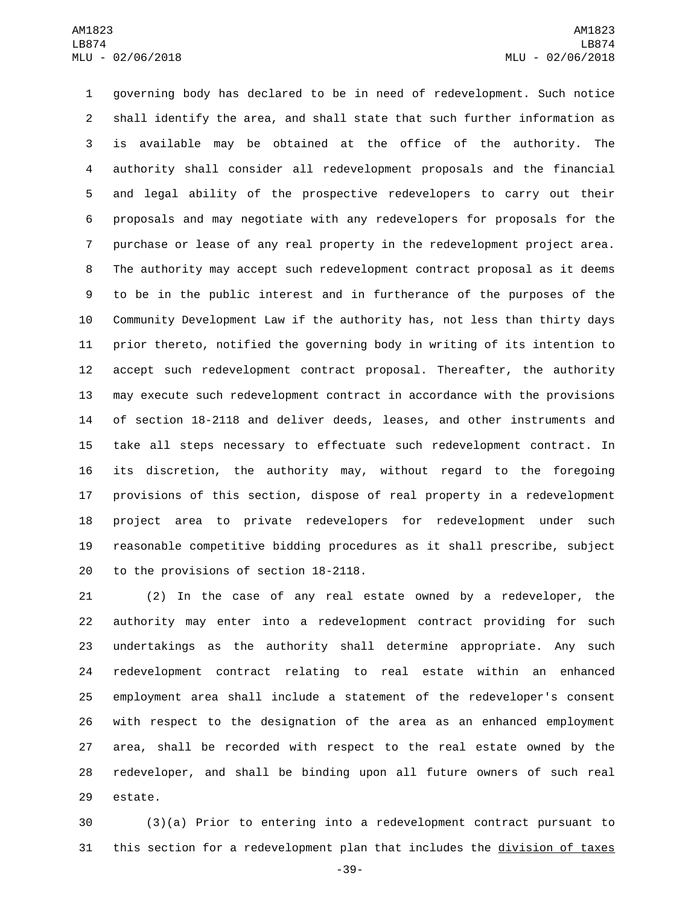governing body has declared to be in need of redevelopment. Such notice shall identify the area, and shall state that such further information as is available may be obtained at the office of the authority. The authority shall consider all redevelopment proposals and the financial and legal ability of the prospective redevelopers to carry out their proposals and may negotiate with any redevelopers for proposals for the purchase or lease of any real property in the redevelopment project area. The authority may accept such redevelopment contract proposal as it deems to be in the public interest and in furtherance of the purposes of the Community Development Law if the authority has, not less than thirty days prior thereto, notified the governing body in writing of its intention to accept such redevelopment contract proposal. Thereafter, the authority may execute such redevelopment contract in accordance with the provisions of section 18-2118 and deliver deeds, leases, and other instruments and take all steps necessary to effectuate such redevelopment contract. In its discretion, the authority may, without regard to the foregoing provisions of this section, dispose of real property in a redevelopment project area to private redevelopers for redevelopment under such reasonable competitive bidding procedures as it shall prescribe, subject 20 to the provisions of section 18-2118.

 (2) In the case of any real estate owned by a redeveloper, the authority may enter into a redevelopment contract providing for such undertakings as the authority shall determine appropriate. Any such redevelopment contract relating to real estate within an enhanced employment area shall include a statement of the redeveloper's consent with respect to the designation of the area as an enhanced employment area, shall be recorded with respect to the real estate owned by the redeveloper, and shall be binding upon all future owners of such real 29 estate.

 (3)(a) Prior to entering into a redevelopment contract pursuant to this section for a redevelopment plan that includes the division of taxes

-39-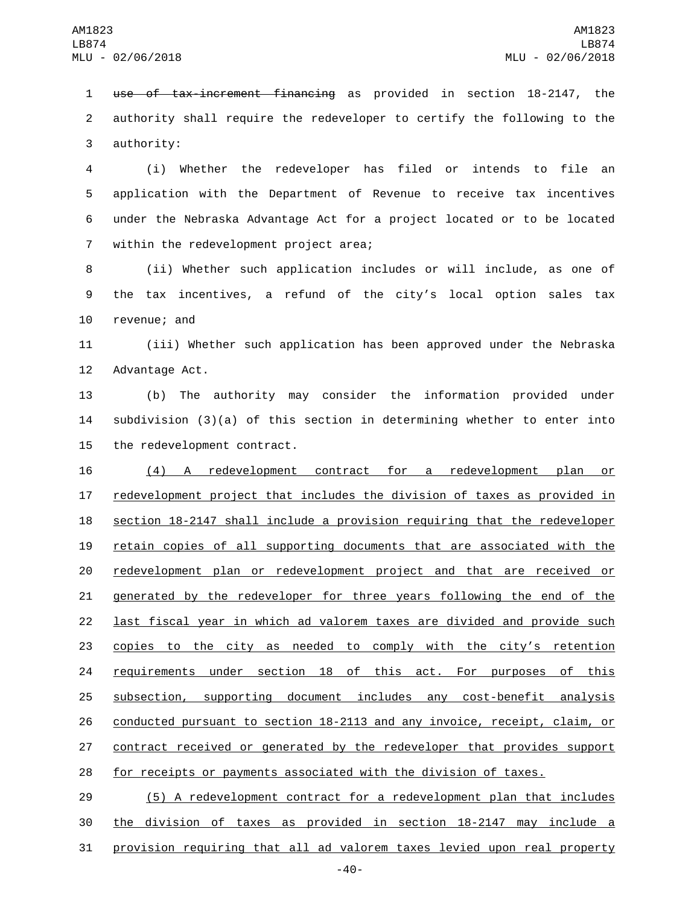use of tax-increment financing as provided in section 18-2147, the authority shall require the redeveloper to certify the following to the 3 authority:

 (i) Whether the redeveloper has filed or intends to file an application with the Department of Revenue to receive tax incentives under the Nebraska Advantage Act for a project located or to be located 7 within the redevelopment project area;

 (ii) Whether such application includes or will include, as one of the tax incentives, a refund of the city's local option sales tax 10 revenue; and

 (iii) Whether such application has been approved under the Nebraska 12 Advantage Act.

 (b) The authority may consider the information provided under subdivision (3)(a) of this section in determining whether to enter into 15 the redevelopment contract.

16 (4) A redevelopment contract for a redevelopment plan or redevelopment project that includes the division of taxes as provided in section 18-2147 shall include a provision requiring that the redeveloper retain copies of all supporting documents that are associated with the redevelopment plan or redevelopment project and that are received or 21 generated by the redeveloper for three years following the end of the last fiscal year in which ad valorem taxes are divided and provide such copies to the city as needed to comply with the city's retention requirements under section 18 of this act. For purposes of this subsection, supporting document includes any cost-benefit analysis conducted pursuant to section 18-2113 and any invoice, receipt, claim, or 27 contract received or generated by the redeveloper that provides support for receipts or payments associated with the division of taxes.

 (5) A redevelopment contract for a redevelopment plan that includes the division of taxes as provided in section 18-2147 may include a provision requiring that all ad valorem taxes levied upon real property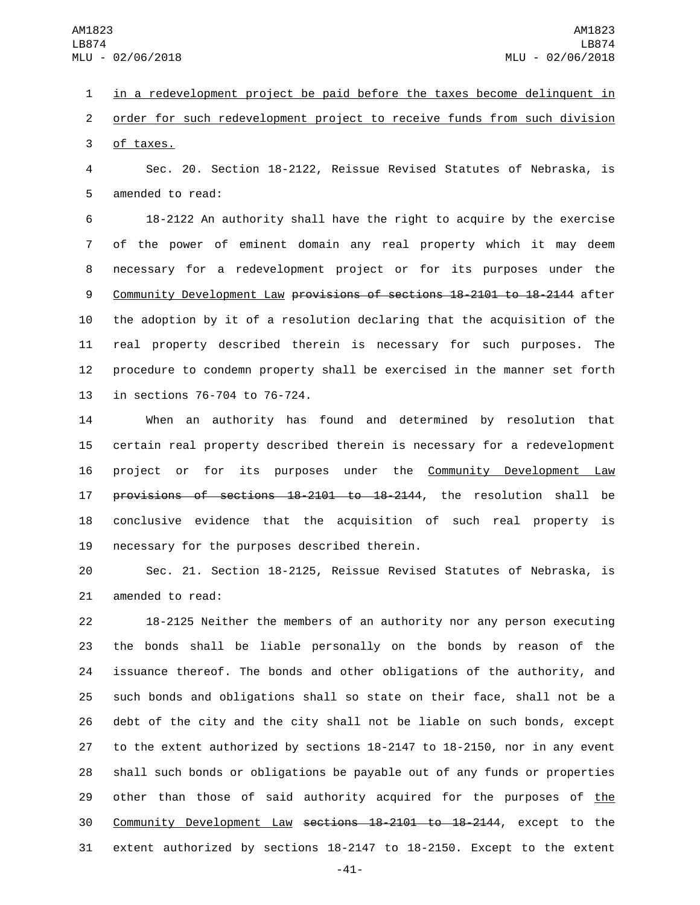in a redevelopment project be paid before the taxes become delinquent in order for such redevelopment project to receive funds from such division 3 of taxes.

 Sec. 20. Section 18-2122, Reissue Revised Statutes of Nebraska, is 5 amended to read:

 18-2122 An authority shall have the right to acquire by the exercise of the power of eminent domain any real property which it may deem necessary for a redevelopment project or for its purposes under the Community Development Law provisions of sections 18-2101 to 18-2144 after the adoption by it of a resolution declaring that the acquisition of the real property described therein is necessary for such purposes. The procedure to condemn property shall be exercised in the manner set forth 13 in sections 76-704 to 76-724.

 When an authority has found and determined by resolution that certain real property described therein is necessary for a redevelopment project or for its purposes under the Community Development Law provisions of sections 18-2101 to 18-2144, the resolution shall be conclusive evidence that the acquisition of such real property is 19 necessary for the purposes described therein.

 Sec. 21. Section 18-2125, Reissue Revised Statutes of Nebraska, is 21 amended to read:

 18-2125 Neither the members of an authority nor any person executing the bonds shall be liable personally on the bonds by reason of the issuance thereof. The bonds and other obligations of the authority, and such bonds and obligations shall so state on their face, shall not be a debt of the city and the city shall not be liable on such bonds, except to the extent authorized by sections 18-2147 to 18-2150, nor in any event shall such bonds or obligations be payable out of any funds or properties 29 other than those of said authority acquired for the purposes of the Community Development Law sections 18-2101 to 18-2144, except to the extent authorized by sections 18-2147 to 18-2150. Except to the extent

-41-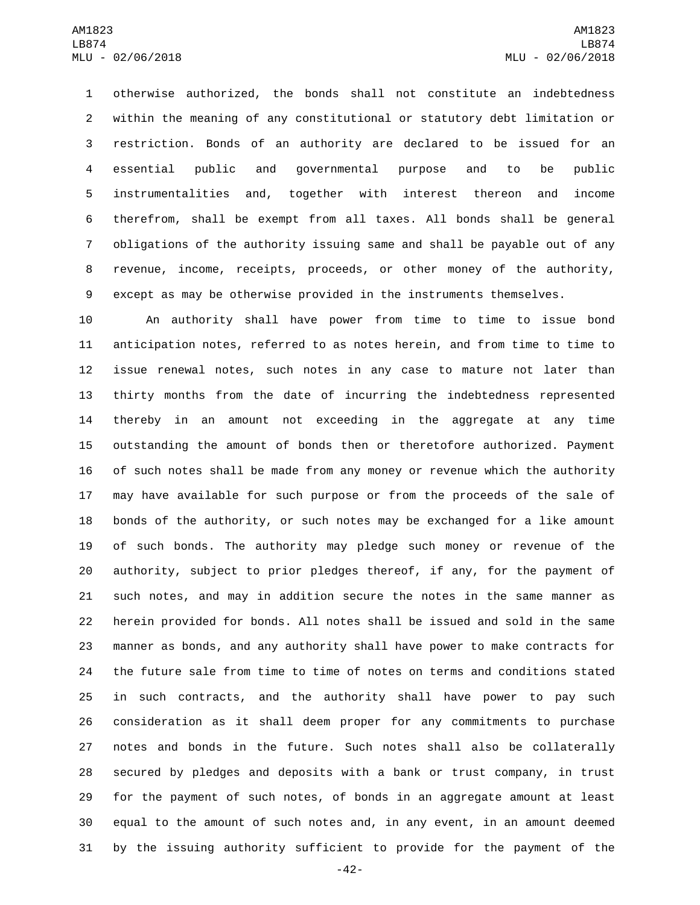otherwise authorized, the bonds shall not constitute an indebtedness within the meaning of any constitutional or statutory debt limitation or restriction. Bonds of an authority are declared to be issued for an essential public and governmental purpose and to be public instrumentalities and, together with interest thereon and income therefrom, shall be exempt from all taxes. All bonds shall be general obligations of the authority issuing same and shall be payable out of any revenue, income, receipts, proceeds, or other money of the authority, except as may be otherwise provided in the instruments themselves.

 An authority shall have power from time to time to issue bond anticipation notes, referred to as notes herein, and from time to time to issue renewal notes, such notes in any case to mature not later than thirty months from the date of incurring the indebtedness represented thereby in an amount not exceeding in the aggregate at any time outstanding the amount of bonds then or theretofore authorized. Payment of such notes shall be made from any money or revenue which the authority may have available for such purpose or from the proceeds of the sale of bonds of the authority, or such notes may be exchanged for a like amount of such bonds. The authority may pledge such money or revenue of the authority, subject to prior pledges thereof, if any, for the payment of such notes, and may in addition secure the notes in the same manner as herein provided for bonds. All notes shall be issued and sold in the same manner as bonds, and any authority shall have power to make contracts for the future sale from time to time of notes on terms and conditions stated in such contracts, and the authority shall have power to pay such consideration as it shall deem proper for any commitments to purchase notes and bonds in the future. Such notes shall also be collaterally secured by pledges and deposits with a bank or trust company, in trust for the payment of such notes, of bonds in an aggregate amount at least equal to the amount of such notes and, in any event, in an amount deemed by the issuing authority sufficient to provide for the payment of the

-42-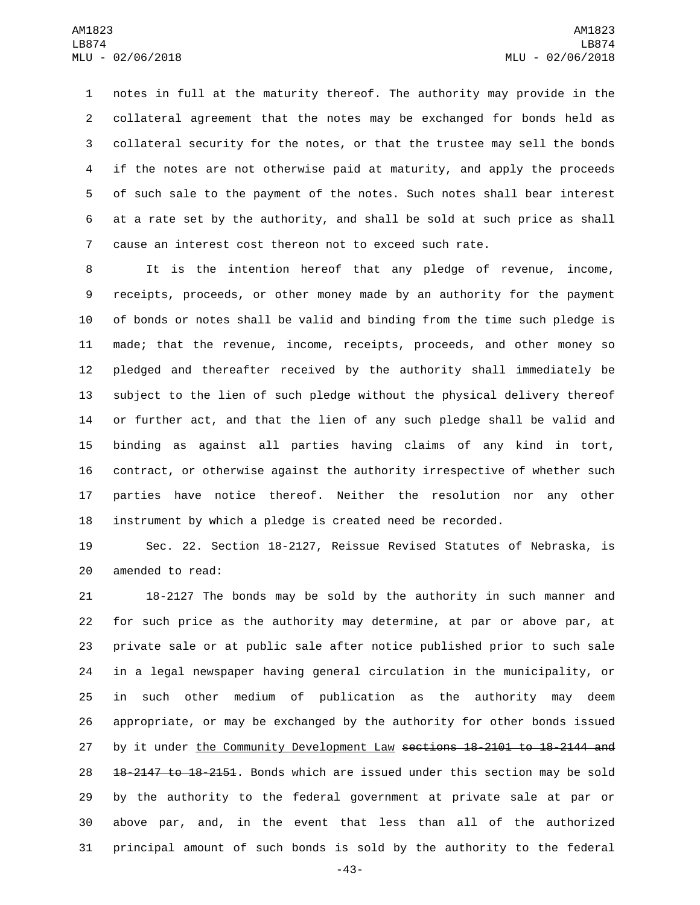notes in full at the maturity thereof. The authority may provide in the collateral agreement that the notes may be exchanged for bonds held as collateral security for the notes, or that the trustee may sell the bonds if the notes are not otherwise paid at maturity, and apply the proceeds of such sale to the payment of the notes. Such notes shall bear interest at a rate set by the authority, and shall be sold at such price as shall cause an interest cost thereon not to exceed such rate.

 It is the intention hereof that any pledge of revenue, income, receipts, proceeds, or other money made by an authority for the payment of bonds or notes shall be valid and binding from the time such pledge is made; that the revenue, income, receipts, proceeds, and other money so pledged and thereafter received by the authority shall immediately be subject to the lien of such pledge without the physical delivery thereof or further act, and that the lien of any such pledge shall be valid and binding as against all parties having claims of any kind in tort, contract, or otherwise against the authority irrespective of whether such parties have notice thereof. Neither the resolution nor any other instrument by which a pledge is created need be recorded.

 Sec. 22. Section 18-2127, Reissue Revised Statutes of Nebraska, is 20 amended to read:

 18-2127 The bonds may be sold by the authority in such manner and for such price as the authority may determine, at par or above par, at private sale or at public sale after notice published prior to such sale in a legal newspaper having general circulation in the municipality, or in such other medium of publication as the authority may deem appropriate, or may be exchanged by the authority for other bonds issued 27 by it under the Community Development Law sections 18-2101 to 18-2144 and 28 18-2147 to 18-2151. Bonds which are issued under this section may be sold by the authority to the federal government at private sale at par or above par, and, in the event that less than all of the authorized principal amount of such bonds is sold by the authority to the federal

-43-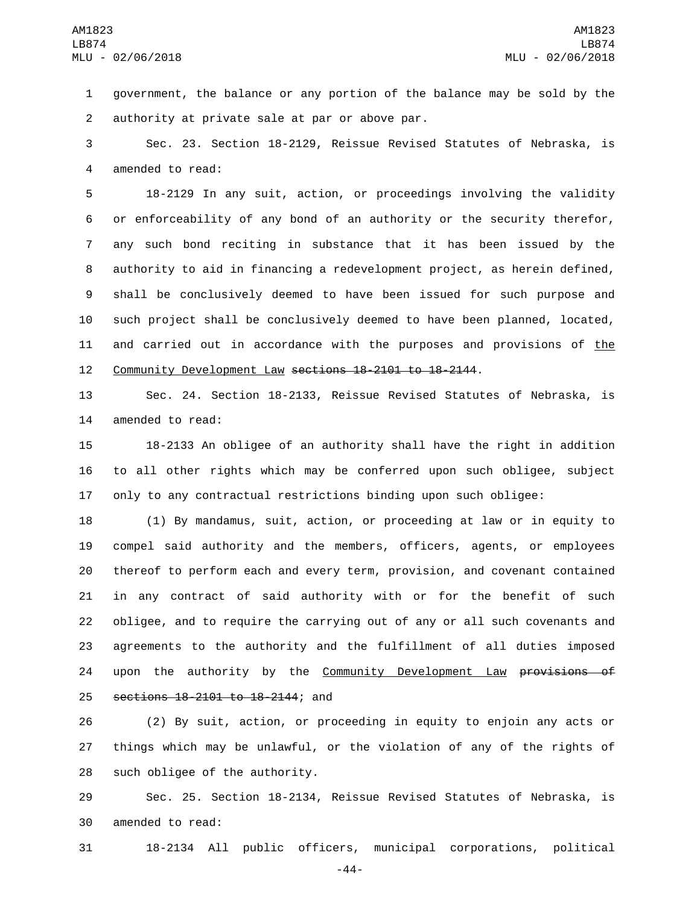government, the balance or any portion of the balance may be sold by the authority at private sale at par or above par.2

 Sec. 23. Section 18-2129, Reissue Revised Statutes of Nebraska, is 4 amended to read:

 18-2129 In any suit, action, or proceedings involving the validity or enforceability of any bond of an authority or the security therefor, any such bond reciting in substance that it has been issued by the authority to aid in financing a redevelopment project, as herein defined, shall be conclusively deemed to have been issued for such purpose and such project shall be conclusively deemed to have been planned, located, 11 and carried out in accordance with the purposes and provisions of the Community Development Law sections 18-2101 to 18-2144.

 Sec. 24. Section 18-2133, Reissue Revised Statutes of Nebraska, is 14 amended to read:

 18-2133 An obligee of an authority shall have the right in addition to all other rights which may be conferred upon such obligee, subject only to any contractual restrictions binding upon such obligee:

 (1) By mandamus, suit, action, or proceeding at law or in equity to compel said authority and the members, officers, agents, or employees thereof to perform each and every term, provision, and covenant contained in any contract of said authority with or for the benefit of such obligee, and to require the carrying out of any or all such covenants and agreements to the authority and the fulfillment of all duties imposed 24 upon the authority by the Community Development Law provisions of 25 sections 18-2101 to 18-2144; and

 (2) By suit, action, or proceeding in equity to enjoin any acts or things which may be unlawful, or the violation of any of the rights of 28 such obligee of the authority.

 Sec. 25. Section 18-2134, Reissue Revised Statutes of Nebraska, is 30 amended to read:

18-2134 All public officers, municipal corporations, political

-44-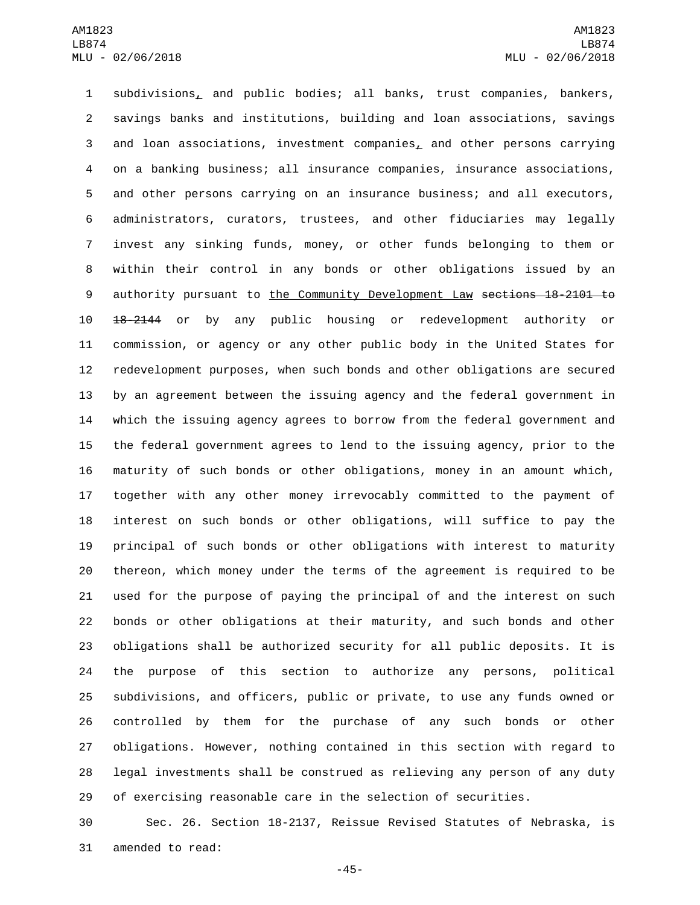subdivisions, and public bodies; all banks, trust companies, bankers, savings banks and institutions, building and loan associations, savings and loan associations, investment companies, and other persons carrying on a banking business; all insurance companies, insurance associations, and other persons carrying on an insurance business; and all executors, administrators, curators, trustees, and other fiduciaries may legally invest any sinking funds, money, or other funds belonging to them or within their control in any bonds or other obligations issued by an 9 authority pursuant to the Community Development Law sections 18-2101 to 18-2144 or by any public housing or redevelopment authority or commission, or agency or any other public body in the United States for redevelopment purposes, when such bonds and other obligations are secured by an agreement between the issuing agency and the federal government in which the issuing agency agrees to borrow from the federal government and the federal government agrees to lend to the issuing agency, prior to the maturity of such bonds or other obligations, money in an amount which, together with any other money irrevocably committed to the payment of interest on such bonds or other obligations, will suffice to pay the principal of such bonds or other obligations with interest to maturity thereon, which money under the terms of the agreement is required to be used for the purpose of paying the principal of and the interest on such bonds or other obligations at their maturity, and such bonds and other obligations shall be authorized security for all public deposits. It is the purpose of this section to authorize any persons, political subdivisions, and officers, public or private, to use any funds owned or controlled by them for the purchase of any such bonds or other obligations. However, nothing contained in this section with regard to legal investments shall be construed as relieving any person of any duty of exercising reasonable care in the selection of securities.

 Sec. 26. Section 18-2137, Reissue Revised Statutes of Nebraska, is 31 amended to read:

-45-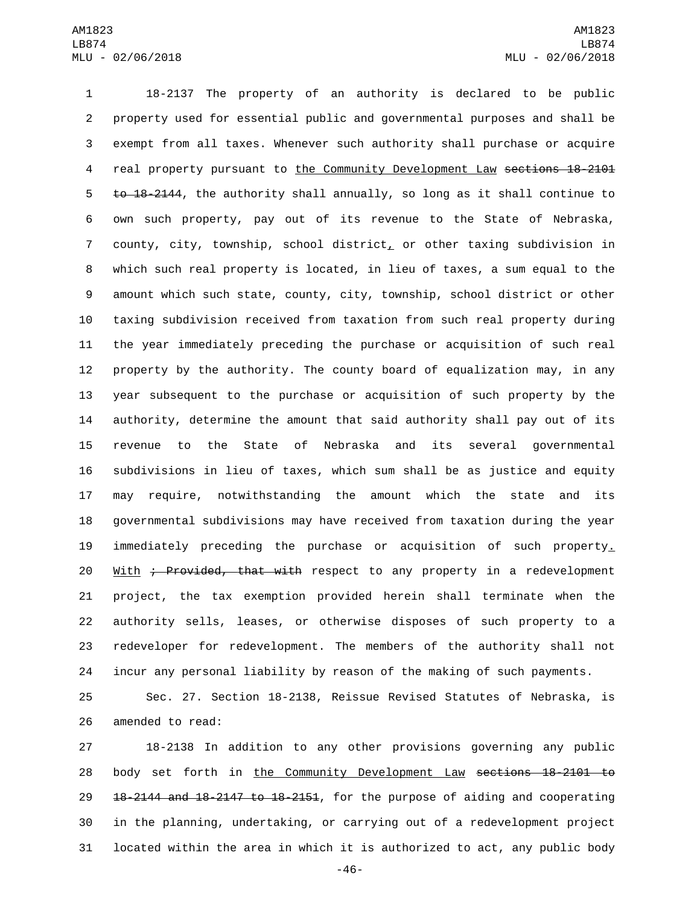18-2137 The property of an authority is declared to be public property used for essential public and governmental purposes and shall be exempt from all taxes. Whenever such authority shall purchase or acquire real property pursuant to the Community Development Law sections 18-2101 5 to 18-2144, the authority shall annually, so long as it shall continue to own such property, pay out of its revenue to the State of Nebraska, county, city, township, school district, or other taxing subdivision in which such real property is located, in lieu of taxes, a sum equal to the amount which such state, county, city, township, school district or other taxing subdivision received from taxation from such real property during the year immediately preceding the purchase or acquisition of such real property by the authority. The county board of equalization may, in any year subsequent to the purchase or acquisition of such property by the authority, determine the amount that said authority shall pay out of its revenue to the State of Nebraska and its several governmental subdivisions in lieu of taxes, which sum shall be as justice and equity may require, notwithstanding the amount which the state and its governmental subdivisions may have received from taxation during the year immediately preceding the purchase or acquisition of such property. 20 With ; Provided, that with respect to any property in a redevelopment project, the tax exemption provided herein shall terminate when the authority sells, leases, or otherwise disposes of such property to a redeveloper for redevelopment. The members of the authority shall not incur any personal liability by reason of the making of such payments.

 Sec. 27. Section 18-2138, Reissue Revised Statutes of Nebraska, is 26 amended to read:

 18-2138 In addition to any other provisions governing any public body set forth in the Community Development Law sections 18-2101 to 18-2144 and 18-2147 to 18-2151, for the purpose of aiding and cooperating in the planning, undertaking, or carrying out of a redevelopment project located within the area in which it is authorized to act, any public body

-46-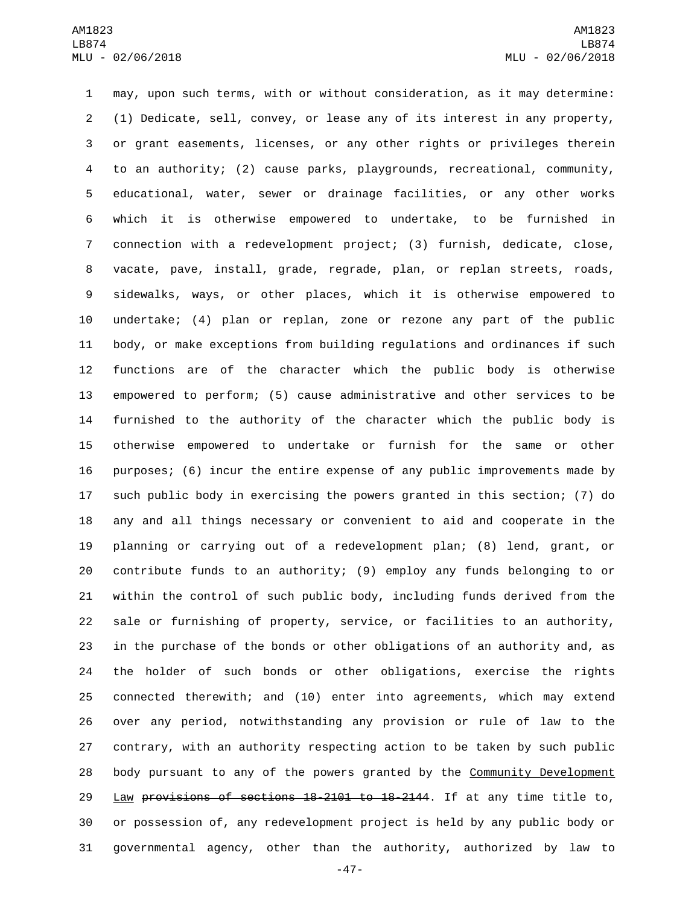may, upon such terms, with or without consideration, as it may determine: (1) Dedicate, sell, convey, or lease any of its interest in any property, or grant easements, licenses, or any other rights or privileges therein to an authority; (2) cause parks, playgrounds, recreational, community, educational, water, sewer or drainage facilities, or any other works which it is otherwise empowered to undertake, to be furnished in connection with a redevelopment project; (3) furnish, dedicate, close, vacate, pave, install, grade, regrade, plan, or replan streets, roads, sidewalks, ways, or other places, which it is otherwise empowered to undertake; (4) plan or replan, zone or rezone any part of the public body, or make exceptions from building regulations and ordinances if such functions are of the character which the public body is otherwise empowered to perform; (5) cause administrative and other services to be furnished to the authority of the character which the public body is otherwise empowered to undertake or furnish for the same or other purposes; (6) incur the entire expense of any public improvements made by such public body in exercising the powers granted in this section; (7) do any and all things necessary or convenient to aid and cooperate in the planning or carrying out of a redevelopment plan; (8) lend, grant, or contribute funds to an authority; (9) employ any funds belonging to or within the control of such public body, including funds derived from the sale or furnishing of property, service, or facilities to an authority, in the purchase of the bonds or other obligations of an authority and, as the holder of such bonds or other obligations, exercise the rights connected therewith; and (10) enter into agreements, which may extend over any period, notwithstanding any provision or rule of law to the contrary, with an authority respecting action to be taken by such public body pursuant to any of the powers granted by the Community Development Law provisions of sections 18-2101 to 18-2144. If at any time title to, or possession of, any redevelopment project is held by any public body or governmental agency, other than the authority, authorized by law to

-47-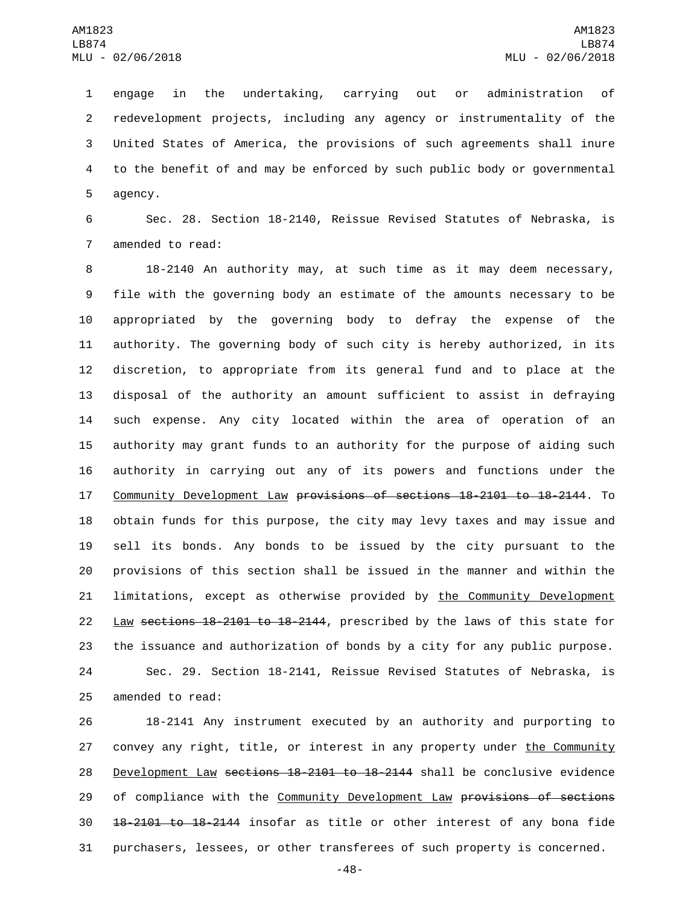engage in the undertaking, carrying out or administration of redevelopment projects, including any agency or instrumentality of the United States of America, the provisions of such agreements shall inure to the benefit of and may be enforced by such public body or governmental 5 agency.

 Sec. 28. Section 18-2140, Reissue Revised Statutes of Nebraska, is 7 amended to read:

 18-2140 An authority may, at such time as it may deem necessary, file with the governing body an estimate of the amounts necessary to be appropriated by the governing body to defray the expense of the authority. The governing body of such city is hereby authorized, in its discretion, to appropriate from its general fund and to place at the disposal of the authority an amount sufficient to assist in defraying such expense. Any city located within the area of operation of an authority may grant funds to an authority for the purpose of aiding such authority in carrying out any of its powers and functions under the Community Development Law provisions of sections 18-2101 to 18-2144. To obtain funds for this purpose, the city may levy taxes and may issue and sell its bonds. Any bonds to be issued by the city pursuant to the provisions of this section shall be issued in the manner and within the 21 limitations, except as otherwise provided by the Community Development 22 Law sections 18-2101 to 18-2144, prescribed by the laws of this state for the issuance and authorization of bonds by a city for any public purpose. Sec. 29. Section 18-2141, Reissue Revised Statutes of Nebraska, is 25 amended to read:

 18-2141 Any instrument executed by an authority and purporting to 27 convey any right, title, or interest in any property under the Community Development Law sections 18-2101 to 18-2144 shall be conclusive evidence 29 of compliance with the Community Development Law provisions of sections 18-2101 to 18-2144 insofar as title or other interest of any bona fide purchasers, lessees, or other transferees of such property is concerned.

-48-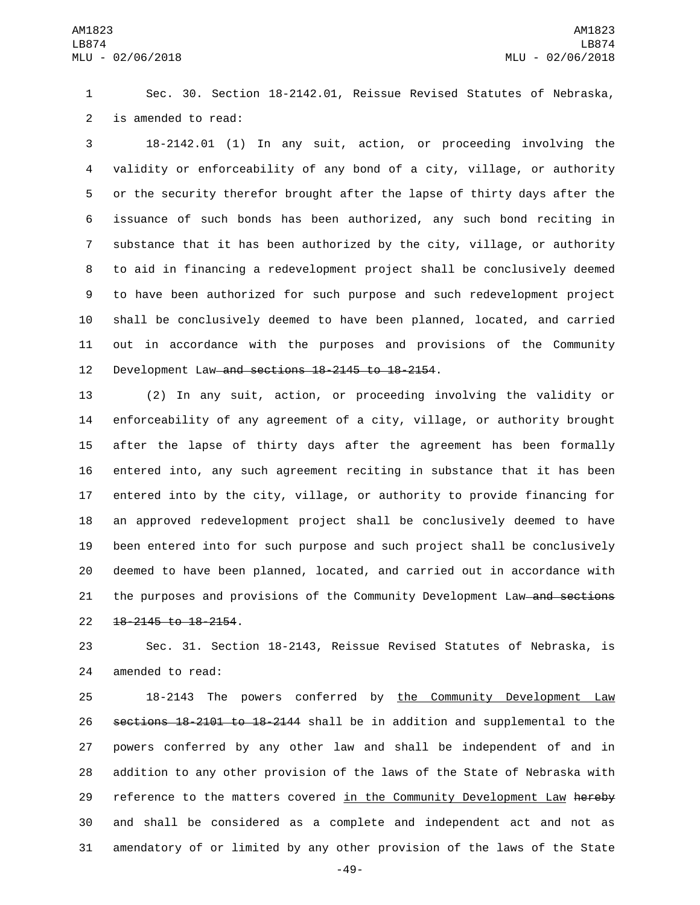Sec. 30. Section 18-2142.01, Reissue Revised Statutes of Nebraska, 2 is amended to read:

 18-2142.01 (1) In any suit, action, or proceeding involving the validity or enforceability of any bond of a city, village, or authority or the security therefor brought after the lapse of thirty days after the issuance of such bonds has been authorized, any such bond reciting in substance that it has been authorized by the city, village, or authority to aid in financing a redevelopment project shall be conclusively deemed to have been authorized for such purpose and such redevelopment project shall be conclusively deemed to have been planned, located, and carried out in accordance with the purposes and provisions of the Community 12 Development Law and sections 18-2145 to 18-2154.

 (2) In any suit, action, or proceeding involving the validity or enforceability of any agreement of a city, village, or authority brought after the lapse of thirty days after the agreement has been formally entered into, any such agreement reciting in substance that it has been entered into by the city, village, or authority to provide financing for an approved redevelopment project shall be conclusively deemed to have been entered into for such purpose and such project shall be conclusively deemed to have been planned, located, and carried out in accordance with 21 the purposes and provisions of the Community Development Law and sections 22 18-2145 to 18-2154.

 Sec. 31. Section 18-2143, Reissue Revised Statutes of Nebraska, is 24 amended to read:

 18-2143 The powers conferred by the Community Development Law sections 18-2101 to 18-2144 shall be in addition and supplemental to the powers conferred by any other law and shall be independent of and in addition to any other provision of the laws of the State of Nebraska with 29 reference to the matters covered in the Community Development Law hereby and shall be considered as a complete and independent act and not as amendatory of or limited by any other provision of the laws of the State

-49-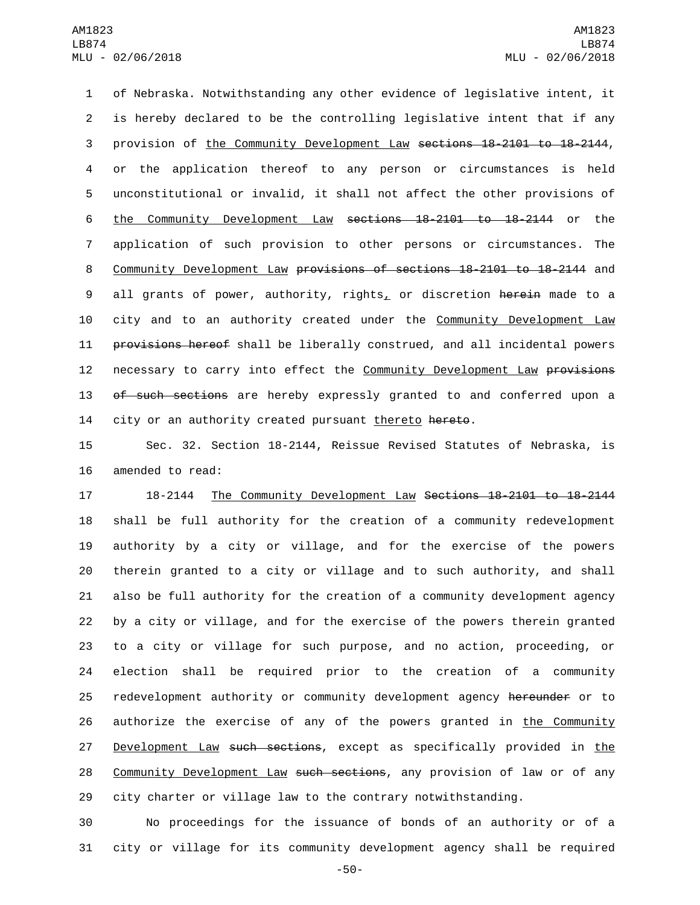of Nebraska. Notwithstanding any other evidence of legislative intent, it is hereby declared to be the controlling legislative intent that if any provision of the Community Development Law sections 18-2101 to 18-2144, or the application thereof to any person or circumstances is held unconstitutional or invalid, it shall not affect the other provisions of the Community Development Law sections 18-2101 to 18-2144 or the application of such provision to other persons or circumstances. The Community Development Law provisions of sections 18-2101 to 18-2144 and 9 all grants of power, authority, rights, or discretion herein made to a city and to an authority created under the Community Development Law **provisions hereof** shall be liberally construed, and all incidental powers 12 necessary to carry into effect the Community Development Law provisions 13 of such sections are hereby expressly granted to and conferred upon a 14 city or an authority created pursuant thereto hereto.

15 Sec. 32. Section 18-2144, Reissue Revised Statutes of Nebraska, is 16 amended to read:

 18-2144 The Community Development Law Sections 18-2101 to 18-2144 shall be full authority for the creation of a community redevelopment authority by a city or village, and for the exercise of the powers therein granted to a city or village and to such authority, and shall also be full authority for the creation of a community development agency by a city or village, and for the exercise of the powers therein granted to a city or village for such purpose, and no action, proceeding, or election shall be required prior to the creation of a community 25 redevelopment authority or community development agency hereunder or to 26 authorize the exercise of any of the powers granted in the Community 27 Development Law such sections, except as specifically provided in the 28 Community Development Law such sections, any provision of law or of any city charter or village law to the contrary notwithstanding.

30 No proceedings for the issuance of bonds of an authority or of a 31 city or village for its community development agency shall be required

-50-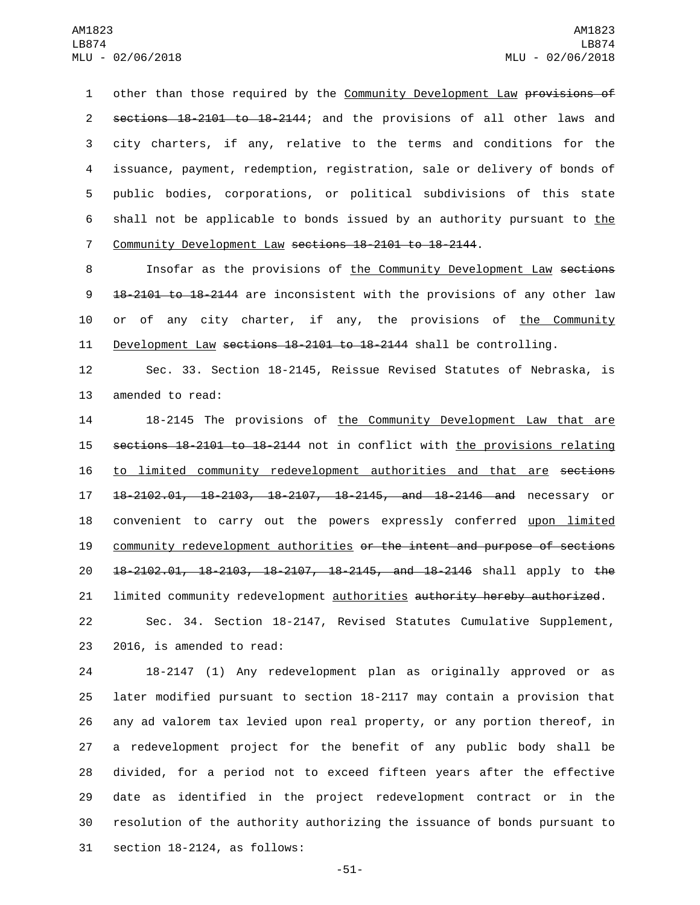1 other than those required by the Community Development Law provisions of 2 sections 18-2101 to 18-2144; and the provisions of all other laws and 3 city charters, if any, relative to the terms and conditions for the 4 issuance, payment, redemption, registration, sale or delivery of bonds of 5 public bodies, corporations, or political subdivisions of this state 6 shall not be applicable to bonds issued by an authority pursuant to the 7 Community Development Law sections 18-2101 to 18-2144.

8 Insofar as the provisions of the Community Development Law sections 9 18-2101 to 18-2144 are inconsistent with the provisions of any other law 10 or of any city charter, if any, the provisions of the Community 11 Development Law sections 18-2101 to 18-2144 shall be controlling.

12 Sec. 33. Section 18-2145, Reissue Revised Statutes of Nebraska, is 13 amended to read:

14 18-2145 The provisions of the Community Development Law that are 15 sections 18-2101 to 18-2144 not in conflict with the provisions relating 16 to limited community redevelopment authorities and that are sections 17 18-2102.01, 18-2103, 18-2107, 18-2145, and 18-2146 and necessary or 18 convenient to carry out the powers expressly conferred upon limited 19 community redevelopment authorities or the intent and purpose of sections 20 18-2102.01, 18-2103, 18-2107, 18-2145, and 18-2146 shall apply to the 21 limited community redevelopment authorities authority hereby authorized.

22 Sec. 34. Section 18-2147, Revised Statutes Cumulative Supplement, 23 2016, is amended to read:

 18-2147 (1) Any redevelopment plan as originally approved or as later modified pursuant to section 18-2117 may contain a provision that any ad valorem tax levied upon real property, or any portion thereof, in a redevelopment project for the benefit of any public body shall be divided, for a period not to exceed fifteen years after the effective date as identified in the project redevelopment contract or in the resolution of the authority authorizing the issuance of bonds pursuant to section  $18-2124$ , as follows:

-51-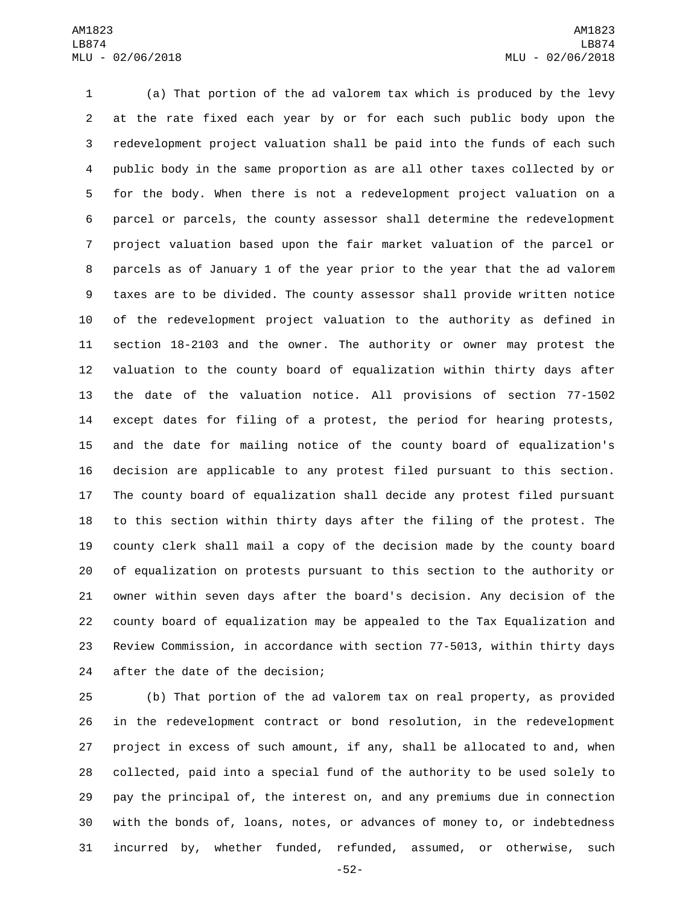(a) That portion of the ad valorem tax which is produced by the levy at the rate fixed each year by or for each such public body upon the redevelopment project valuation shall be paid into the funds of each such public body in the same proportion as are all other taxes collected by or for the body. When there is not a redevelopment project valuation on a parcel or parcels, the county assessor shall determine the redevelopment project valuation based upon the fair market valuation of the parcel or parcels as of January 1 of the year prior to the year that the ad valorem taxes are to be divided. The county assessor shall provide written notice of the redevelopment project valuation to the authority as defined in section 18-2103 and the owner. The authority or owner may protest the valuation to the county board of equalization within thirty days after the date of the valuation notice. All provisions of section 77-1502 except dates for filing of a protest, the period for hearing protests, and the date for mailing notice of the county board of equalization's decision are applicable to any protest filed pursuant to this section. The county board of equalization shall decide any protest filed pursuant to this section within thirty days after the filing of the protest. The county clerk shall mail a copy of the decision made by the county board of equalization on protests pursuant to this section to the authority or owner within seven days after the board's decision. Any decision of the county board of equalization may be appealed to the Tax Equalization and Review Commission, in accordance with section 77-5013, within thirty days 24 after the date of the decision;

 (b) That portion of the ad valorem tax on real property, as provided in the redevelopment contract or bond resolution, in the redevelopment project in excess of such amount, if any, shall be allocated to and, when collected, paid into a special fund of the authority to be used solely to pay the principal of, the interest on, and any premiums due in connection with the bonds of, loans, notes, or advances of money to, or indebtedness incurred by, whether funded, refunded, assumed, or otherwise, such

-52-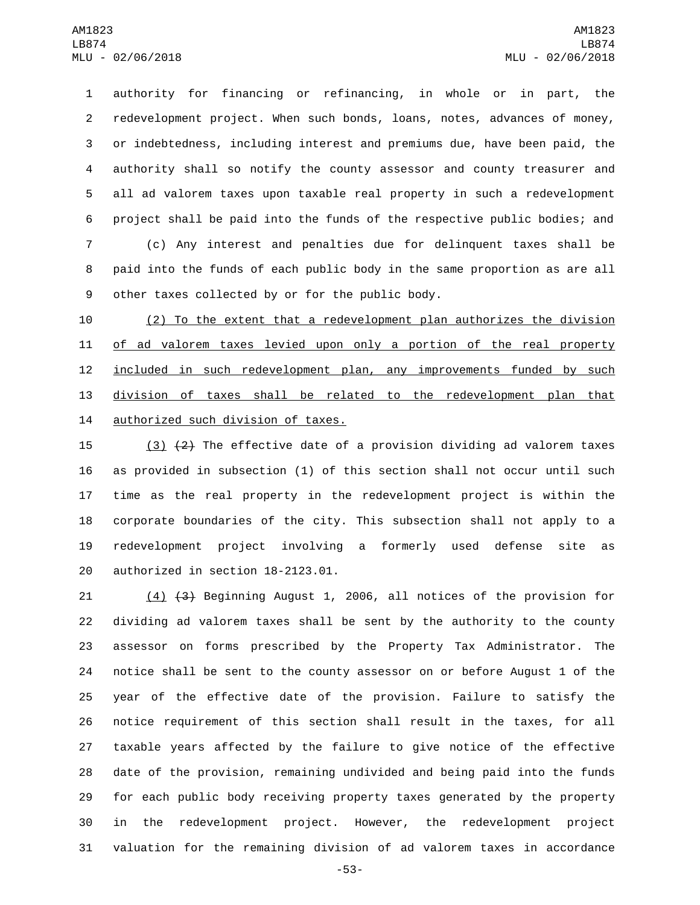authority for financing or refinancing, in whole or in part, the redevelopment project. When such bonds, loans, notes, advances of money, or indebtedness, including interest and premiums due, have been paid, the authority shall so notify the county assessor and county treasurer and all ad valorem taxes upon taxable real property in such a redevelopment project shall be paid into the funds of the respective public bodies; and (c) Any interest and penalties due for delinquent taxes shall be paid into the funds of each public body in the same proportion as are all 9 other taxes collected by or for the public body.

 (2) To the extent that a redevelopment plan authorizes the division 11 of ad valorem taxes levied upon only a portion of the real property 12 included in such redevelopment plan, any improvements funded by such division of taxes shall be related to the redevelopment plan that 14 authorized such division of taxes.

15 (3)  $(2)$  The effective date of a provision dividing ad valorem taxes as provided in subsection (1) of this section shall not occur until such time as the real property in the redevelopment project is within the corporate boundaries of the city. This subsection shall not apply to a redevelopment project involving a formerly used defense site as 20 authorized in section 18-2123.01.

 (4) (3) Beginning August 1, 2006, all notices of the provision for dividing ad valorem taxes shall be sent by the authority to the county assessor on forms prescribed by the Property Tax Administrator. The notice shall be sent to the county assessor on or before August 1 of the year of the effective date of the provision. Failure to satisfy the notice requirement of this section shall result in the taxes, for all taxable years affected by the failure to give notice of the effective date of the provision, remaining undivided and being paid into the funds for each public body receiving property taxes generated by the property in the redevelopment project. However, the redevelopment project valuation for the remaining division of ad valorem taxes in accordance

-53-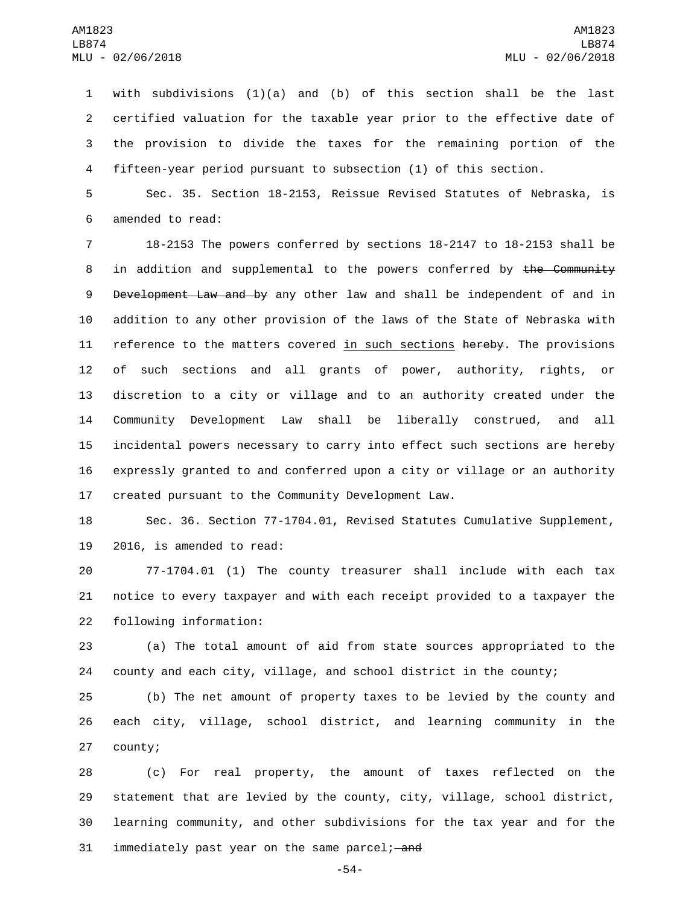with subdivisions (1)(a) and (b) of this section shall be the last certified valuation for the taxable year prior to the effective date of the provision to divide the taxes for the remaining portion of the fifteen-year period pursuant to subsection (1) of this section.

 Sec. 35. Section 18-2153, Reissue Revised Statutes of Nebraska, is 6 amended to read:

 18-2153 The powers conferred by sections 18-2147 to 18-2153 shall be 8 in addition and supplemental to the powers conferred by the Community 9 Development Law and by any other law and shall be independent of and in addition to any other provision of the laws of the State of Nebraska with 11 reference to the matters covered in such sections hereby. The provisions of such sections and all grants of power, authority, rights, or discretion to a city or village and to an authority created under the Community Development Law shall be liberally construed, and all incidental powers necessary to carry into effect such sections are hereby expressly granted to and conferred upon a city or village or an authority created pursuant to the Community Development Law.

 Sec. 36. Section 77-1704.01, Revised Statutes Cumulative Supplement, 19 2016, is amended to read:

 77-1704.01 (1) The county treasurer shall include with each tax notice to every taxpayer and with each receipt provided to a taxpayer the 22 following information:

 (a) The total amount of aid from state sources appropriated to the county and each city, village, and school district in the county;

 (b) The net amount of property taxes to be levied by the county and each city, village, school district, and learning community in the 27 county;

 (c) For real property, the amount of taxes reflected on the statement that are levied by the county, city, village, school district, learning community, and other subdivisions for the tax year and for the 31 immediately past year on the same parcel; and

-54-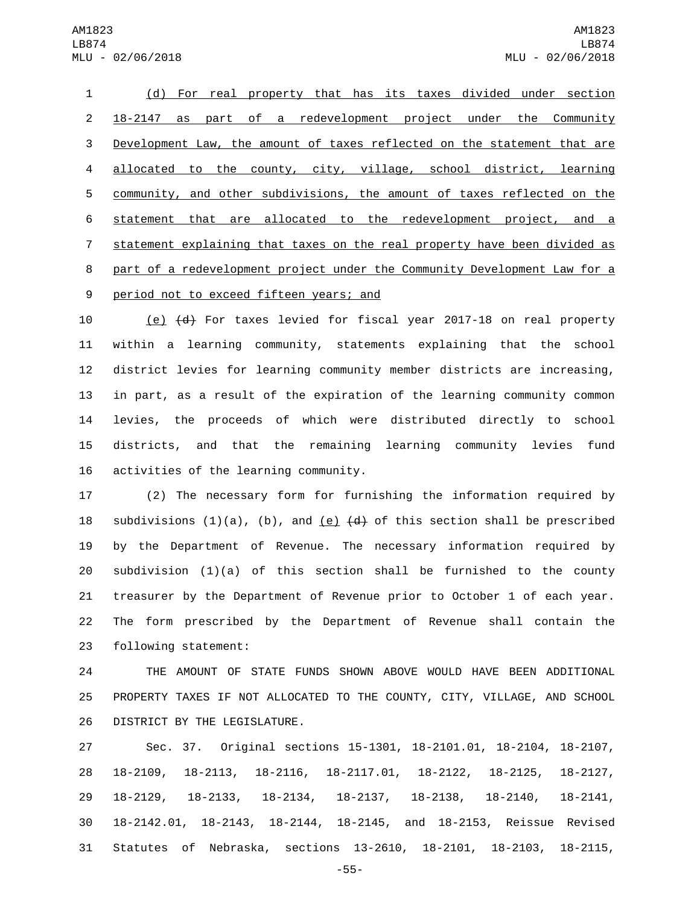(d) For real property that has its taxes divided under section 18-2147 as part of a redevelopment project under the Community Development Law, the amount of taxes reflected on the statement that are allocated to the county, city, village, school district, learning community, and other subdivisions, the amount of taxes reflected on the statement that are allocated to the redevelopment project, and a statement explaining that taxes on the real property have been divided as part of a redevelopment project under the Community Development Law for a 9 period not to exceed fifteen years; and

 (e) (d) For taxes levied for fiscal year 2017-18 on real property within a learning community, statements explaining that the school district levies for learning community member districts are increasing, in part, as a result of the expiration of the learning community common levies, the proceeds of which were distributed directly to school districts, and that the remaining learning community levies fund 16 activities of the learning community.

 (2) The necessary form for furnishing the information required by 18 subdivisions  $(1)(a)$ ,  $(b)$ , and  $(e)$   $(d)$  of this section shall be prescribed by the Department of Revenue. The necessary information required by subdivision (1)(a) of this section shall be furnished to the county treasurer by the Department of Revenue prior to October 1 of each year. The form prescribed by the Department of Revenue shall contain the 23 following statement:

 THE AMOUNT OF STATE FUNDS SHOWN ABOVE WOULD HAVE BEEN ADDITIONAL PROPERTY TAXES IF NOT ALLOCATED TO THE COUNTY, CITY, VILLAGE, AND SCHOOL 26 DISTRICT BY THE LEGISLATURE.

 Sec. 37. Original sections 15-1301, 18-2101.01, 18-2104, 18-2107, 18-2109, 18-2113, 18-2116, 18-2117.01, 18-2122, 18-2125, 18-2127, 18-2129, 18-2133, 18-2134, 18-2137, 18-2138, 18-2140, 18-2141, 18-2142.01, 18-2143, 18-2144, 18-2145, and 18-2153, Reissue Revised Statutes of Nebraska, sections 13-2610, 18-2101, 18-2103, 18-2115,

-55-